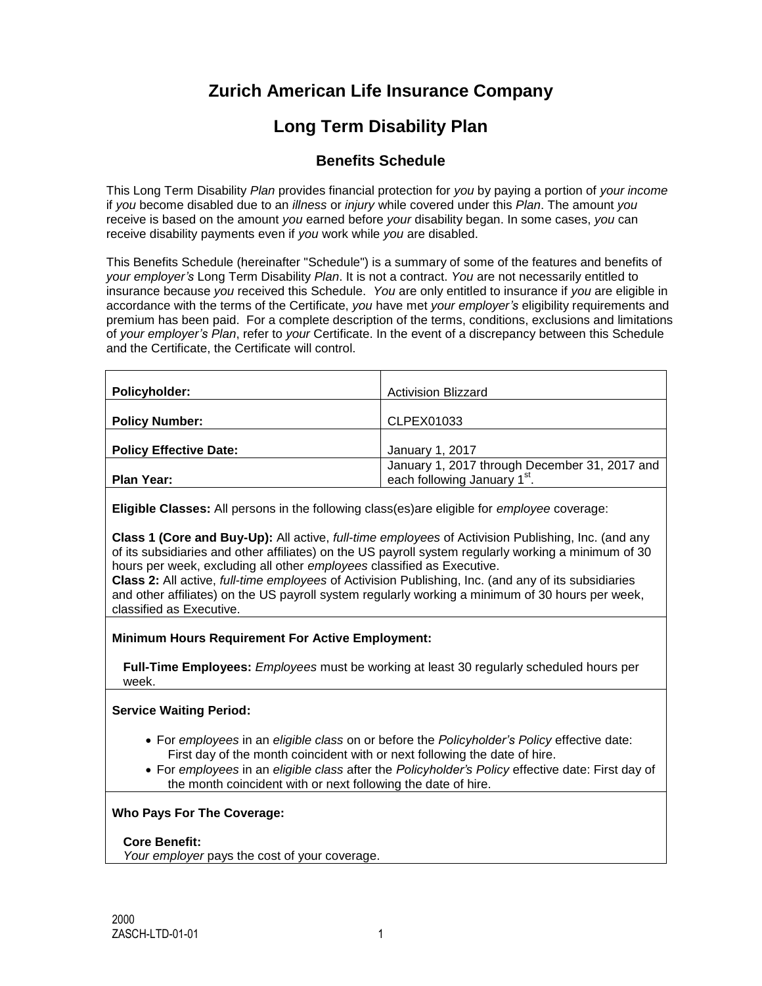# **Zurich American Life Insurance Company**

# **Long Term Disability Plan**

# **Benefits Schedule**

This Long Term Disability *Plan* provides financial protection for *you* by paying a portion of *your income* if *you* become disabled due to an *illness* or *injury* while covered under this *Plan*. The amount *you* receive is based on the amount *you* earned before *your* disability began. In some cases, *you* can receive disability payments even if *you* work while *you* are disabled.

This Benefits Schedule (hereinafter "Schedule") is a summary of some of the features and benefits of *your employer's* Long Term Disability *Plan*. It is not a contract. *You* are not necessarily entitled to insurance because *you* received this Schedule. *You* are only entitled to insurance if *you* are eligible in accordance with the terms of the Certificate, *you* have met *your employer's* eligibility requirements and premium has been paid. For a complete description of the terms, conditions, exclusions and limitations of *your employer's Plan*, refer to *your* Certificate. In the event of a discrepancy between this Schedule and the Certificate, the Certificate will control.

| <b>Policyholder:</b>          | <b>Activision Blizzard</b>                                                   |
|-------------------------------|------------------------------------------------------------------------------|
| <b>Policy Number:</b>         | CLPEX01033                                                                   |
| <b>Policy Effective Date:</b> | January 1, 2017                                                              |
| Plan Year:                    | January 1, 2017 through December 31, 2017 and<br>each following January 1st. |

**Eligible Classes:** All persons in the following class(es)are eligible for *employee* coverage:

**Class 1 (Core and Buy-Up):** All active, *full-time employees* of Activision Publishing, Inc. (and any of its subsidiaries and other affiliates) on the US payroll system regularly working a minimum of 30 hours per week, excluding all other *employees* classified as Executive.

**Class 2:** All active, *full-time employees* of Activision Publishing, Inc. (and any of its subsidiaries and other affiliates) on the US payroll system regularly working a minimum of 30 hours per week, classified as Executive.

**Minimum Hours Requirement For Active Employment:**

**Full-Time Employees:** *Employees* must be working at least 30 regularly scheduled hours per week.

**Service Waiting Period:**

- For *employees* in an *eligible class* on or before the *Policyholder's Policy* effective date: First day of the month coincident with or next following the date of hire.
- For *employees* in an *eligible class* after the *Policyholder's Policy* effective date: First day of the month coincident with or next following the date of hire.

#### **Who Pays For The Coverage:**

#### **Core Benefit:**

*Your employer* pays the cost of your coverage.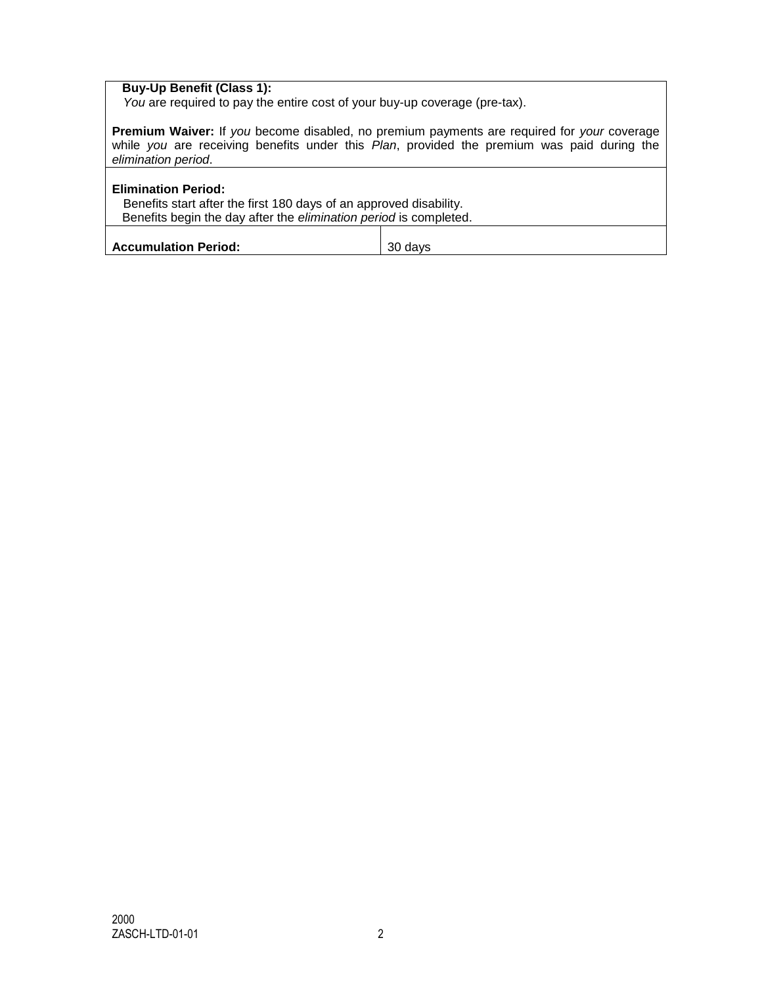# **Buy-Up Benefit (Class 1):**

*You* are required to pay the entire cost of your buy-up coverage (pre-tax).

**Premium Waiver:** If *you* become disabled, no premium payments are required for *your* coverage while *you* are receiving benefits under this *Plan*, provided the premium was paid during the *elimination period*.

| <b>Elimination Period:</b><br>Benefits start after the first 180 days of an approved disability.<br>Benefits begin the day after the <i>elimination period</i> is completed. |         |
|------------------------------------------------------------------------------------------------------------------------------------------------------------------------------|---------|
| <b>Accumulation Period:</b>                                                                                                                                                  | 30 days |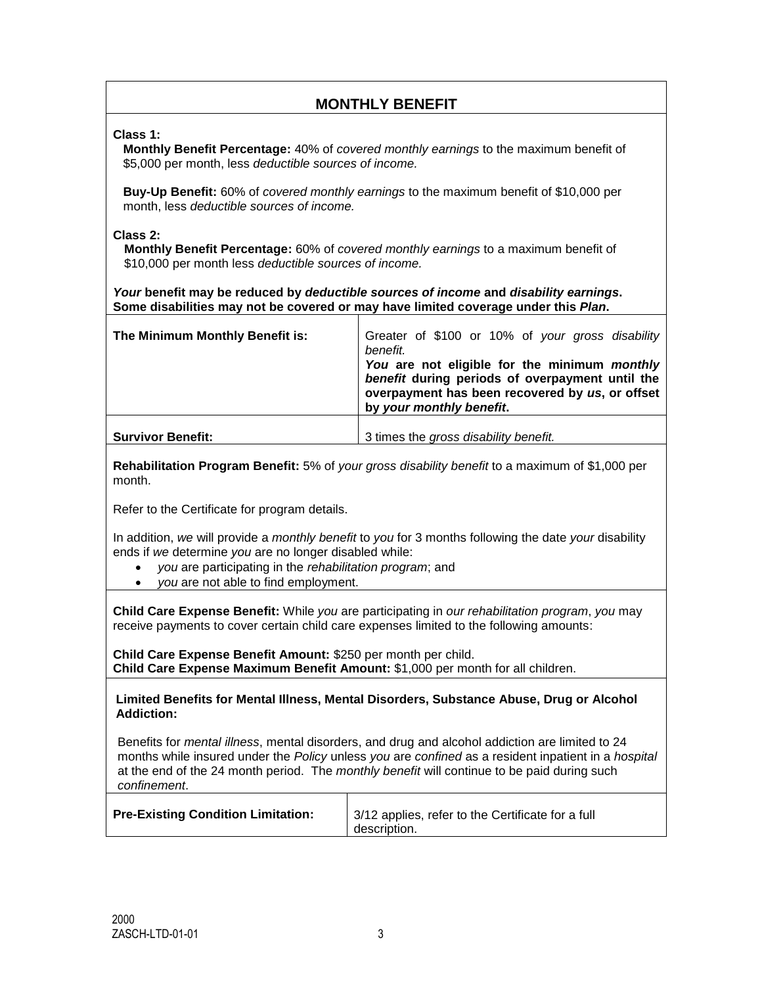# **MONTHLY BENEFIT**

**Class 1:**

**Monthly Benefit Percentage:** 40% of *covered monthly earnings* to the maximum benefit of \$5,000 per month, less *deductible sources of income.*

**Buy-Up Benefit:** 60% of *covered monthly earnings* to the maximum benefit of \$10,000 per month, less *deductible sources of income.*

#### **Class 2:**

**Monthly Benefit Percentage:** 60% of *covered monthly earnings* to a maximum benefit of \$10,000 per month less *deductible sources of income.*

*Your* **benefit may be reduced by** *deductible sources of income* **and** *disability earnings***. Some disabilities may not be covered or may have limited coverage under this** *Plan***.**

| The Minimum Monthly Benefit is: | Greater of \$100 or 10% of your gross disability<br>benefit.<br>You are not eligible for the minimum monthly<br>benefit during periods of overpayment until the<br>overpayment has been recovered by us, or offset<br>by your monthly benefit. |
|---------------------------------|------------------------------------------------------------------------------------------------------------------------------------------------------------------------------------------------------------------------------------------------|
| <b>Survivor Benefit:</b>        | 3 times the gross disability benefit.                                                                                                                                                                                                          |

**Rehabilitation Program Benefit:** 5% of *your gross disability benefit* to a maximum of \$1,000 per month.

Refer to the Certificate for program details.

In addition, *we* will provide a *monthly benefit* to *you* for 3 months following the date *your* disability ends if *we* determine *you* are no longer disabled while:

- *you* are participating in the *rehabilitation program*; and
- *you* are not able to find employment.

**Child Care Expense Benefit:** While *you* are participating in *our rehabilitation program*, *you* may receive payments to cover certain child care expenses limited to the following amounts:

**Child Care Expense Benefit Amount:** \$250 per month per child. **Child Care Expense Maximum Benefit Amount:** \$1,000 per month for all children.

**Limited Benefits for Mental Illness, Mental Disorders, Substance Abuse, Drug or Alcohol Addiction:** 

Benefits for *mental illness*, mental disorders, and drug and alcohol addiction are limited to 24 months while insured under the *Policy* unless *you* are *confined* as a resident inpatient in a *hospital* at the end of the 24 month period. The *monthly benefit* will continue to be paid during such *confinement*.

| <b>Pre-Existing Condition Limitation:</b> | 3/12 applies, refer to the Certificate for a full<br>description. |
|-------------------------------------------|-------------------------------------------------------------------|
|-------------------------------------------|-------------------------------------------------------------------|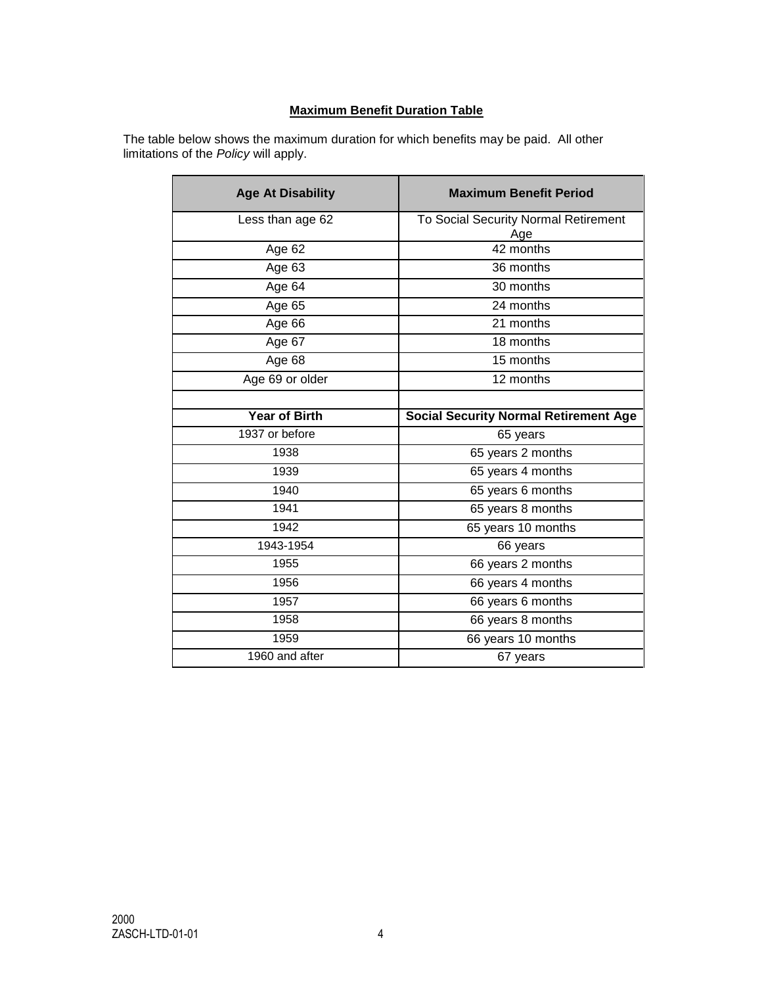## **Maximum Benefit Duration Table**

The table below shows the maximum duration for which benefits may be paid. All other limitations of the *Policy* will apply.

| <b>Age At Disability</b> | <b>Maximum Benefit Period</b>                |
|--------------------------|----------------------------------------------|
| Less than age 62         | To Social Security Normal Retirement<br>Age  |
| Age 62                   | 42 months                                    |
| Age 63                   | 36 months                                    |
| Age 64                   | 30 months                                    |
| Age 65                   | 24 months                                    |
| Age 66                   | 21 months                                    |
| Age 67                   | 18 months                                    |
| Age 68                   | 15 months                                    |
| Age 69 or older          | 12 months                                    |
|                          |                                              |
| <b>Year of Birth</b>     | <b>Social Security Normal Retirement Age</b> |
| 1937 or before           | 65 years                                     |
| 1938                     | 65 years 2 months                            |
| 1939                     | 65 years 4 months                            |
| 1940                     | 65 years 6 months                            |
| 1941                     | 65 years 8 months                            |
| 1942                     | 65 years 10 months                           |
| 1943-1954                | 66 years                                     |
| 1955                     | 66 years 2 months                            |
| 1956                     | 66 years 4 months                            |
| 1957                     | 66 years 6 months                            |
| 1958                     | 66 years 8 months                            |
| 1959                     | 66 years 10 months                           |
| 1960 and after           | 67 years                                     |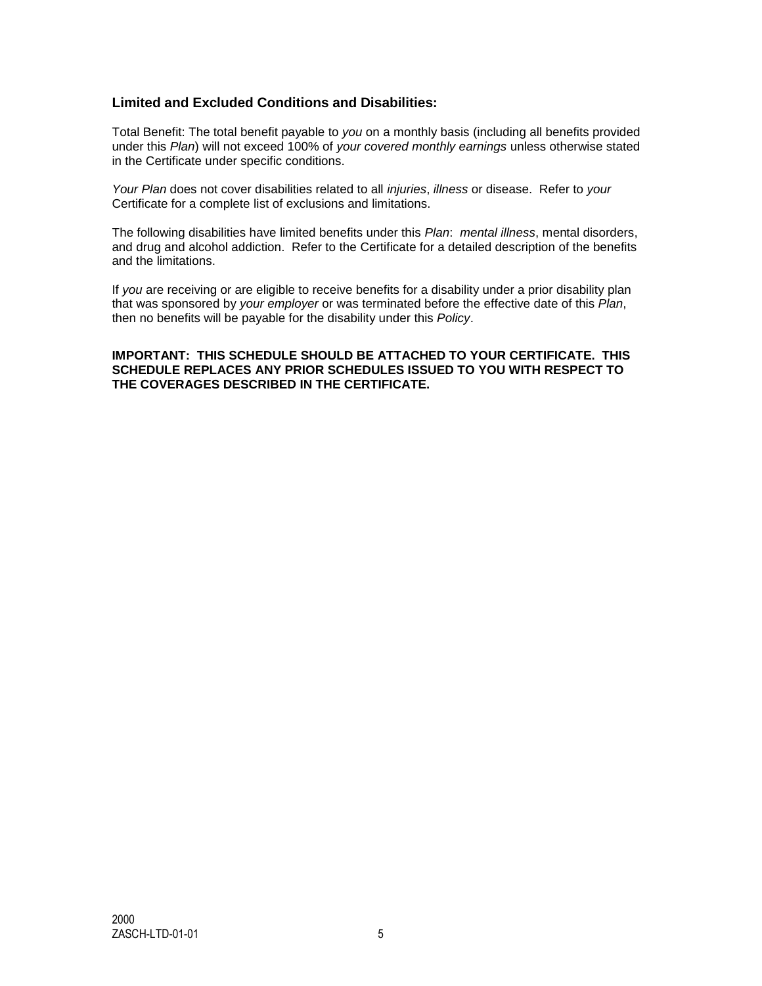# **Limited and Excluded Conditions and Disabilities:**

Total Benefit: The total benefit payable to *you* on a monthly basis (including all benefits provided under this *Plan*) will not exceed 100% of *your covered monthly earnings* unless otherwise stated in the Certificate under specific conditions.

*Your Plan* does not cover disabilities related to all *injuries*, *illness* or disease. Refer to *your* Certificate for a complete list of exclusions and limitations.

The following disabilities have limited benefits under this *Plan*: *mental illness*, mental disorders, and drug and alcohol addiction. Refer to the Certificate for a detailed description of the benefits and the limitations.

If *you* are receiving or are eligible to receive benefits for a disability under a prior disability plan that was sponsored by *your employer* or was terminated before the effective date of this *Plan*, then no benefits will be payable for the disability under this *Policy*.

#### **IMPORTANT: THIS SCHEDULE SHOULD BE ATTACHED TO YOUR CERTIFICATE. THIS SCHEDULE REPLACES ANY PRIOR SCHEDULES ISSUED TO YOU WITH RESPECT TO THE COVERAGES DESCRIBED IN THE CERTIFICATE.**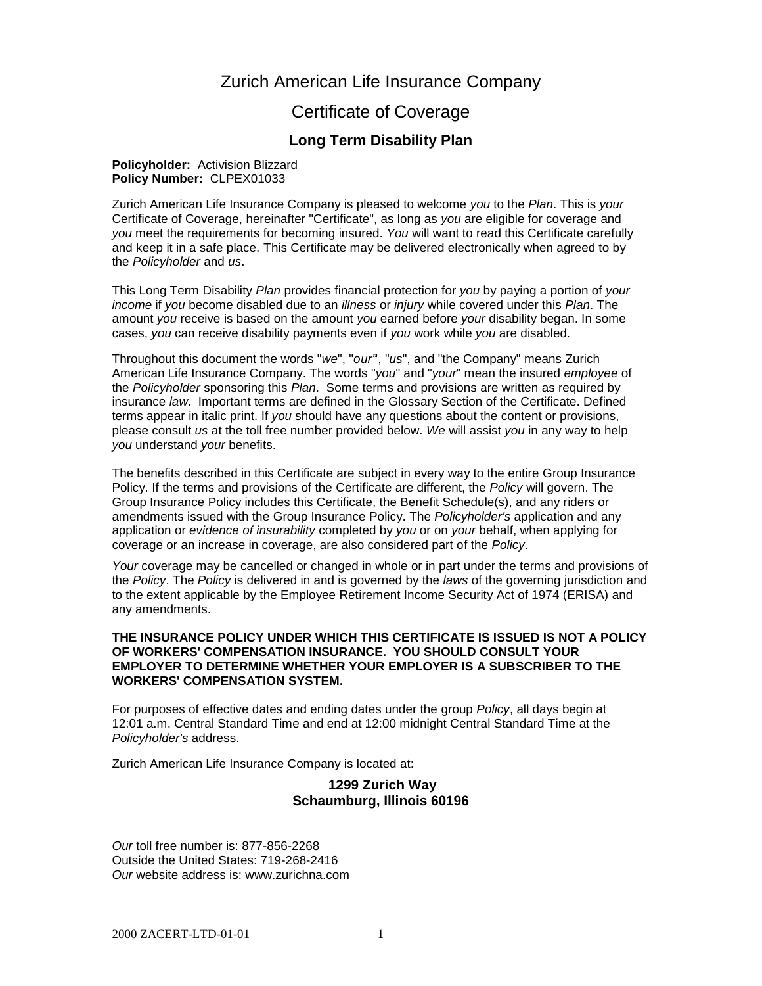# Zurich American Life Insurance Company

# Certificate of Coverage

# **Long Term Disability Plan**

#### **Policyholder:** Activision Blizzard **Policy Number:** CLPEX01033

Zurich American Life Insurance Company is pleased to welcome *you* to the *Plan*. This is *your* Certificate of Coverage, hereinafter "Certificate", as long as *you* are eligible for coverage and *you* meet the requirements for becoming insured. *You* will want to read this Certificate carefully and keep it in a safe place. This Certificate may be delivered electronically when agreed to by the *Policyholder* and *us*.

This Long Term Disability *Plan* provides financial protection for *you* by paying a portion of *your income* if *you* become disabled due to an *illness* or *injury* while covered under this *Plan*. The amount *you* receive is based on the amount *you* earned before *your* disability began. In some cases, *you* can receive disability payments even if *you* work while *you* are disabled.

Throughout this document the words "*we*", "*our"*', "*us*", and "the Company" means Zurich American Life Insurance Company. The words "*you*" and "*your*" mean the insured *employee* of the *Policyholder* sponsoring this *Plan*. Some terms and provisions are written as required by insurance *law*. Important terms are defined in the Glossary Section of the Certificate. Defined terms appear in italic print. If *you* should have any questions about the content or provisions, please consult *us* at the toll free number provided below. *We* will assist *you* in any way to help *you* understand *your* benefits.

The benefits described in this Certificate are subject in every way to the entire Group Insurance Policy. If the terms and provisions of the Certificate are different, the *Policy* will govern. The Group Insurance Policy includes this Certificate, the Benefit Schedule(s), and any riders or amendments issued with the Group Insurance Policy. The *Policyholder's* application and any application or *evidence of insurability* completed by *you* or on *your* behalf, when applying for coverage or an increase in coverage, are also considered part of the *Policy*.

*Your* coverage may be cancelled or changed in whole or in part under the terms and provisions of the *Policy*. The *Policy* is delivered in and is governed by the *laws* of the governing jurisdiction and to the extent applicable by the Employee Retirement Income Security Act of 1974 (ERISA) and any amendments.

#### **THE INSURANCE POLICY UNDER WHICH THIS CERTIFICATE IS ISSUED IS NOT A POLICY OF WORKERS' COMPENSATION INSURANCE. YOU SHOULD CONSULT YOUR EMPLOYER TO DETERMINE WHETHER YOUR EMPLOYER IS A SUBSCRIBER TO THE WORKERS' COMPENSATION SYSTEM.**

For purposes of effective dates and ending dates under the group *Policy*, all days begin at 12:01 a.m. Central Standard Time and end at 12:00 midnight Central Standard Time at the *Policyholder's* address.

Zurich American Life Insurance Company is located at:

#### **1299 Zurich Way Schaumburg, Illinois 60196**

*Our* toll free number is: 877-856-2268 Outside the United States: 719-268-2416 *Our* website address is: www.zurichna.com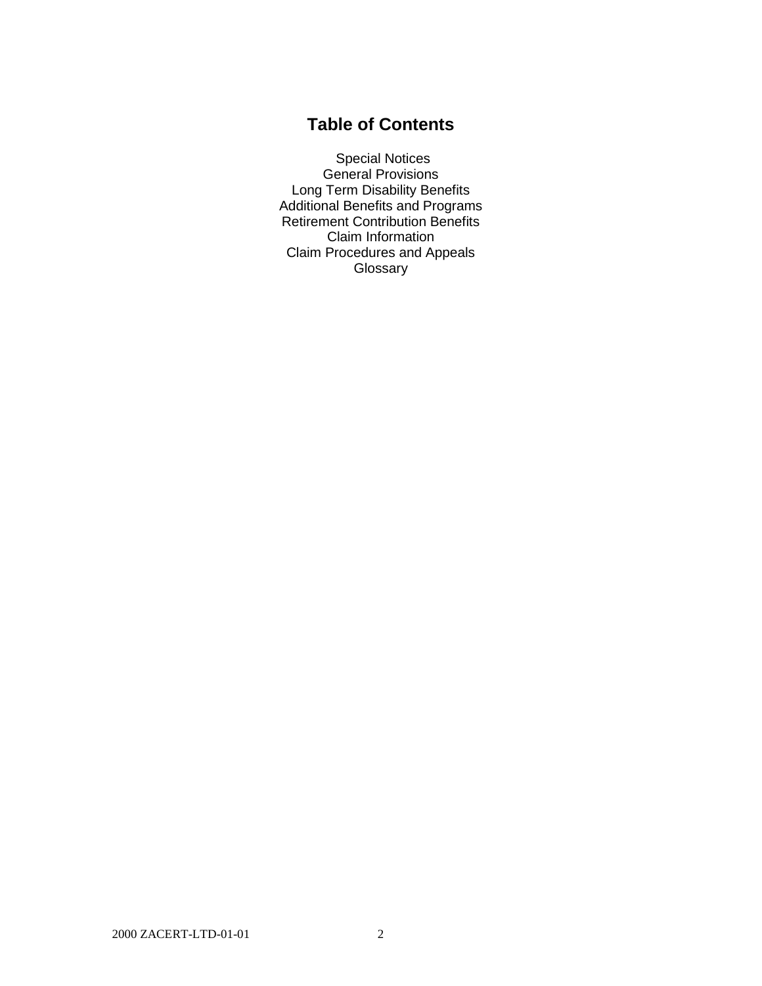# **Table of Contents**

Special Notices General Provisions Long Term Disability Benefits Additional Benefits and Programs Retirement Contribution Benefits Claim Information Claim Procedures and Appeals **Glossary**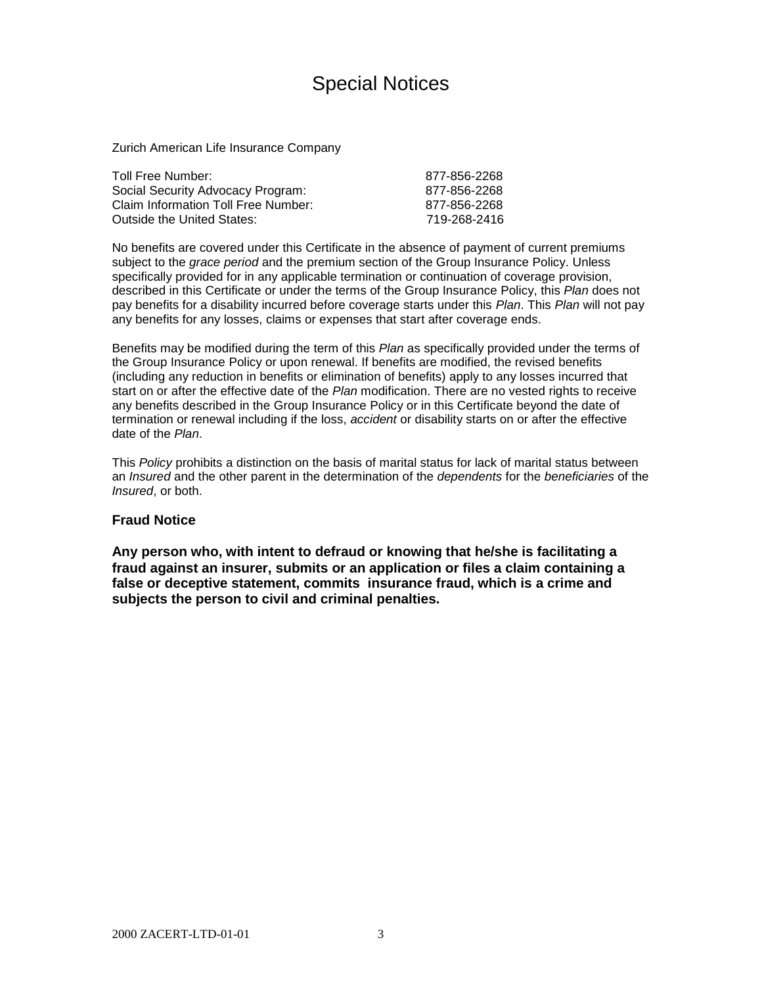# Special Notices

Zurich American Life Insurance Company

| Toll Free Number:                   | 877-856-2268 |
|-------------------------------------|--------------|
| Social Security Advocacy Program:   | 877-856-2268 |
| Claim Information Toll Free Number: | 877-856-2268 |
| Outside the United States:          | 719-268-2416 |

No benefits are covered under this Certificate in the absence of payment of current premiums subject to the *grace period* and the premium section of the Group Insurance Policy. Unless specifically provided for in any applicable termination or continuation of coverage provision, described in this Certificate or under the terms of the Group Insurance Policy, this *Plan* does not pay benefits for a disability incurred before coverage starts under this *Plan*. This *Plan* will not pay any benefits for any losses, claims or expenses that start after coverage ends.

Benefits may be modified during the term of this *Plan* as specifically provided under the terms of the Group Insurance Policy or upon renewal. If benefits are modified, the revised benefits (including any reduction in benefits or elimination of benefits) apply to any losses incurred that start on or after the effective date of the *Plan* modification. There are no vested rights to receive any benefits described in the Group Insurance Policy or in this Certificate beyond the date of termination or renewal including if the loss, *accident* or disability starts on or after the effective date of the *Plan*.

This *Policy* prohibits a distinction on the basis of marital status for lack of marital status between an *Insured* and the other parent in the determination of the *dependents* for the *beneficiaries* of the *Insured*, or both.

#### **Fraud Notice**

**Any person who, with intent to defraud or knowing that he/she is facilitating a fraud against an insurer, submits or an application or files a claim containing a false or deceptive statement, commits insurance fraud, which is a crime and subjects the person to civil and criminal penalties.**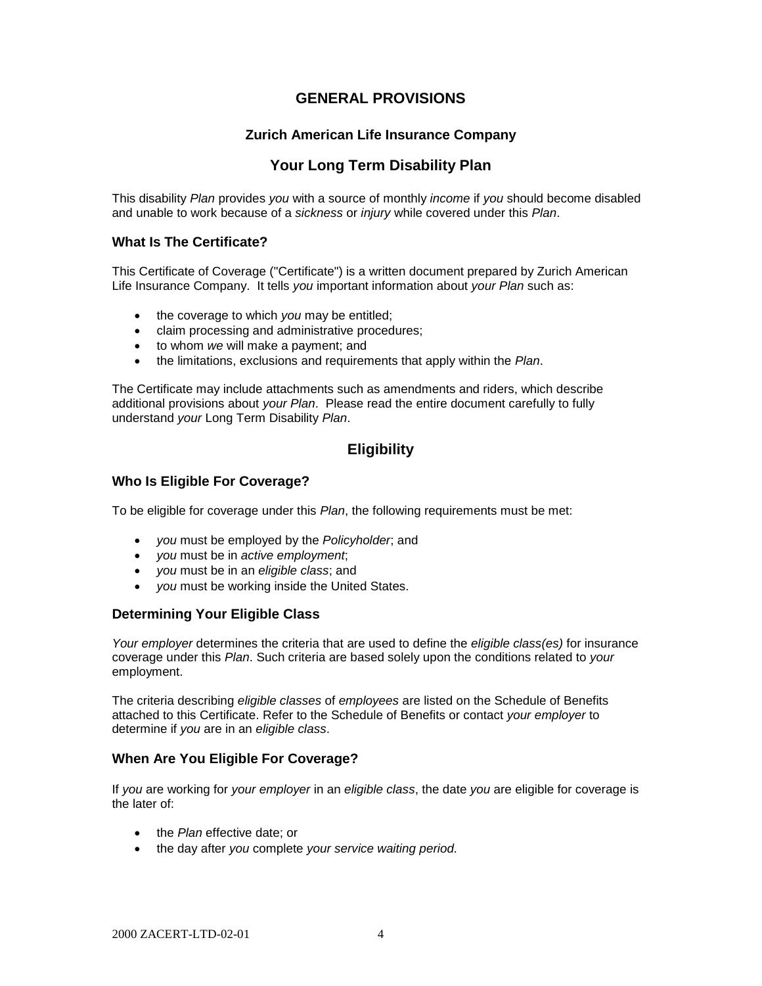# **GENERAL PROVISIONS**

## **Zurich American Life Insurance Company**

# **Your Long Term Disability Plan**

This disability *Plan* provides *you* with a source of monthly *income* if *you* should become disabled and unable to work because of a *sickness* or *injury* while covered under this *Plan*.

#### **What Is The Certificate?**

This Certificate of Coverage ("Certificate") is a written document prepared by Zurich American Life Insurance Company. It tells *you* important information about *your Plan* such as:

- the coverage to which you may be entitled;
- claim processing and administrative procedures;
- to whom *we* will make a payment; and
- the limitations, exclusions and requirements that apply within the *Plan*.

The Certificate may include attachments such as amendments and riders, which describe additional provisions about *your Plan*. Please read the entire document carefully to fully understand *your* Long Term Disability *Plan*.

# **Eligibility**

#### **Who Is Eligible For Coverage?**

To be eligible for coverage under this *Plan*, the following requirements must be met:

- *you* must be employed by the *Policyholder*; and
- *you* must be in *active employment*;
- *you* must be in an *eligible class*; and
- *you* must be working inside the United States.

#### **Determining Your Eligible Class**

*Your employer* determines the criteria that are used to define the *eligible class(es)* for insurance coverage under this *Plan*. Such criteria are based solely upon the conditions related to *your* employment.

The criteria describing *eligible classes* of *employees* are listed on the Schedule of Benefits attached to this Certificate. Refer to the Schedule of Benefits or contact *your employer* to determine if *you* are in an *eligible class*.

#### **When Are You Eligible For Coverage?**

If *you* are working for *your employer* in an *eligible class*, the date *you* are eligible for coverage is the later of:

- the *Plan* effective date; or
- the day after *you* complete *your service waiting period.*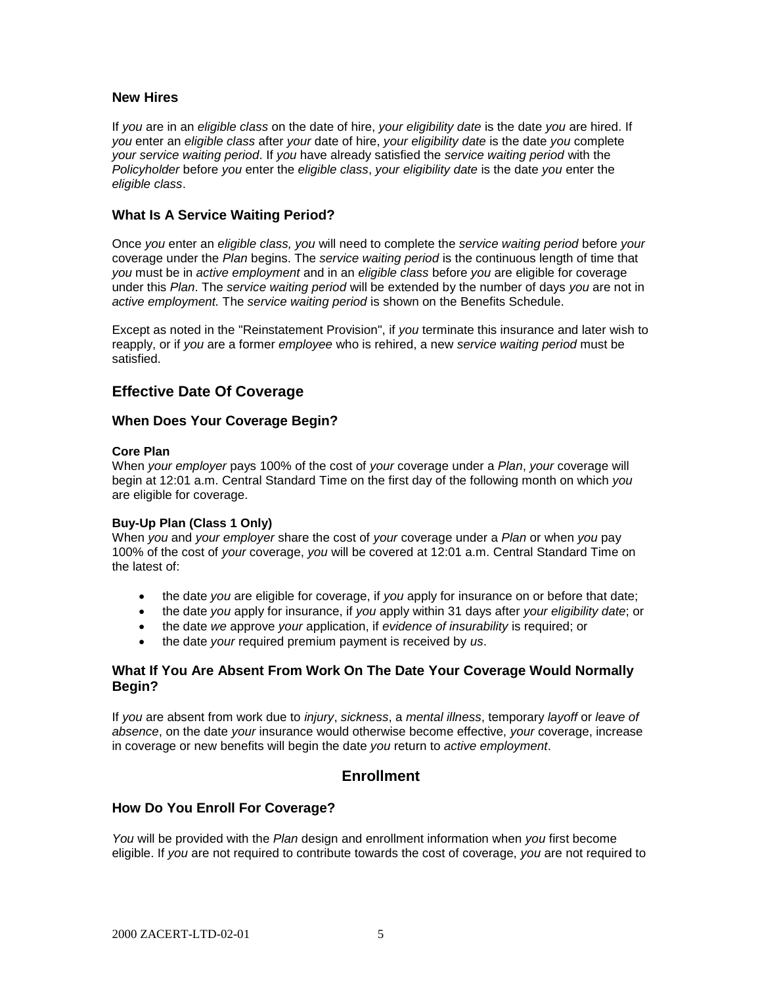#### **New Hires**

If *you* are in an *eligible class* on the date of hire, *your eligibility date* is the date *you* are hired. If *you* enter an *eligible class* after *your* date of hire, *your eligibility date* is the date *you* complete *your service waiting period*. If *you* have already satisfied the *service waiting period* with the *Policyholder* before *you* enter the *eligible class*, *your eligibility date* is the date *you* enter the *eligible class*.

## **What Is A Service Waiting Period?**

Once *you* enter an *eligible class, you* will need to complete the *service waiting period* before *your* coverage under the *Plan* begins. The *service waiting period* is the continuous length of time that *you* must be in *active employment* and in an *eligible class* before *you* are eligible for coverage under this *Plan*. The *service waiting period* will be extended by the number of days *you* are not in *active employment.* The *service waiting period* is shown on the Benefits Schedule.

Except as noted in the "Reinstatement Provision", if *you* terminate this insurance and later wish to reapply, or if *you* are a former *employee* who is rehired, a new *service waiting period* must be satisfied.

# **Effective Date Of Coverage**

#### **When Does Your Coverage Begin?**

#### **Core Plan**

When *your employer* pays 100% of the cost of *your* coverage under a *Plan*, *your* coverage will begin at 12:01 a.m. Central Standard Time on the first day of the following month on which *you* are eligible for coverage.

#### **Buy-Up Plan (Class 1 Only)**

When *you* and *your employer* share the cost of *your* coverage under a *Plan* or when *you* pay 100% of the cost of *your* coverage, *you* will be covered at 12:01 a.m. Central Standard Time on the latest of:

- the date *you* are eligible for coverage, if *you* apply for insurance on or before that date;
- the date *you* apply for insurance, if *you* apply within 31 days after *your eligibility date*; or
- the date *we* approve *your* application, if *evidence of insurability* is required; or
- the date *your* required premium payment is received by *us*.

## **What If You Are Absent From Work On The Date Your Coverage Would Normally Begin?**

If *you* are absent from work due to *injury*, *sickness*, a *mental illness*, temporary *layoff* or *leave of absence*, on the date *your* insurance would otherwise become effective, *your* coverage, increase in coverage or new benefits will begin the date *you* return to *active employment*.

# **Enrollment**

## **How Do You Enroll For Coverage?**

*You* will be provided with the *Plan* design and enrollment information when *you* first become eligible. If *you* are not required to contribute towards the cost of coverage, *you* are not required to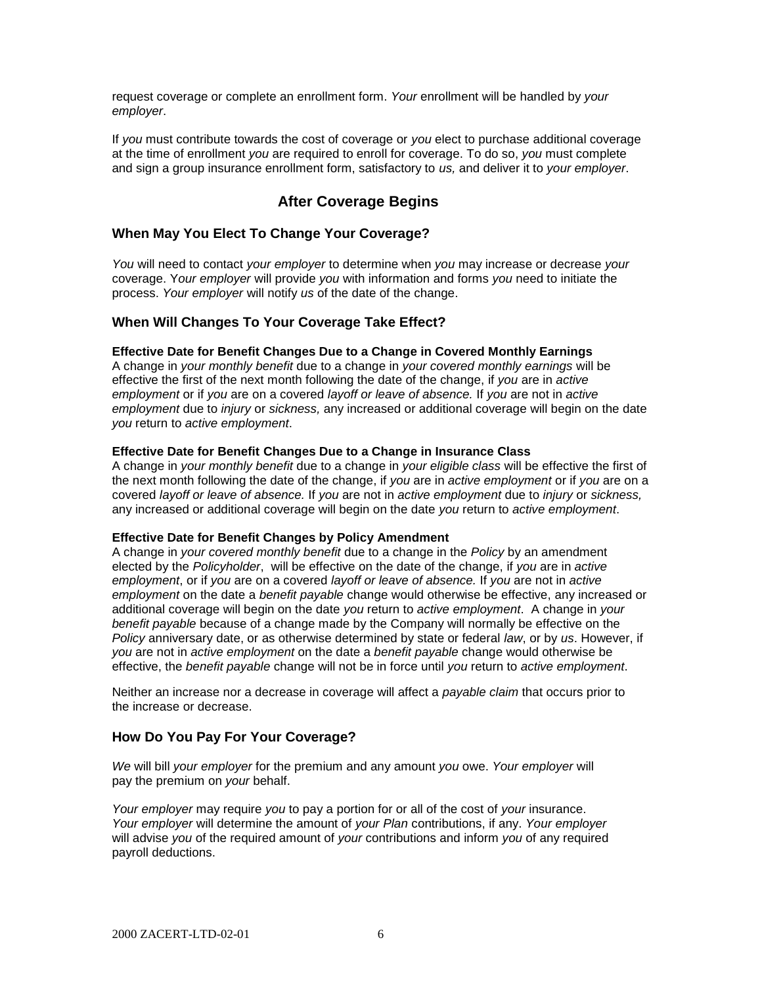request coverage or complete an enrollment form. *Your* enrollment will be handled by *your employer*.

If *you* must contribute towards the cost of coverage or *you* elect to purchase additional coverage at the time of enrollment *you* are required to enroll for coverage. To do so, *you* must complete and sign a group insurance enrollment form, satisfactory to *us,* and deliver it to *your employer*.

# **After Coverage Begins**

## **When May You Elect To Change Your Coverage?**

*You* will need to contact *your employer* to determine when *you* may increase or decrease *your* coverage. Y*our employer* will provide *you* with information and forms *you* need to initiate the process. *Your employer* will notify *us* of the date of the change.

## **When Will Changes To Your Coverage Take Effect?**

#### **Effective Date for Benefit Changes Due to a Change in Covered Monthly Earnings**

A change in *your monthly benefit* due to a change in *your covered monthly earnings* will be effective the first of the next month following the date of the change, if *you* are in *active employment* or if *you* are on a covered *layoff or leave of absence.* If *you* are not in *active employment* due to *injury* or *sickness,* any increased or additional coverage will begin on the date *you* return to *active employment*.

#### **Effective Date for Benefit Changes Due to a Change in Insurance Class**

A change in *your monthly benefit* due to a change in *your eligible class* will be effective the first of the next month following the date of the change, if *you* are in *active employment* or if *you* are on a covered *layoff or leave of absence.* If *you* are not in *active employment* due to *injury* or *sickness,* any increased or additional coverage will begin on the date *you* return to *active employment*.

#### **Effective Date for Benefit Changes by Policy Amendment**

A change in *your covered monthly benefit* due to a change in the *Policy* by an amendment elected by the *Policyholder*, will be effective on the date of the change, if *you* are in *active employment*, or if *you* are on a covered *layoff or leave of absence.* If *you* are not in *active employment* on the date a *benefit payable* change would otherwise be effective, any increased or additional coverage will begin on the date *you* return to *active employment*. A change in *your benefit payable* because of a change made by the Company will normally be effective on the *Policy* anniversary date, or as otherwise determined by state or federal *law*, or by *us*. However, if *you* are not in *active employment* on the date a *benefit payable* change would otherwise be effective, the *benefit payable* change will not be in force until *you* return to *active employment*.

Neither an increase nor a decrease in coverage will affect a *payable claim* that occurs prior to the increase or decrease.

#### **How Do You Pay For Your Coverage?**

*We* will bill *your employer* for the premium and any amount *you* owe. *Your employer* will pay the premium on *your* behalf.

*Your employer* may require *you* to pay a portion for or all of the cost of *your* insurance. *Your employer* will determine the amount of *your Plan* contributions, if any. *Your employer* will advise *you* of the required amount of *your* contributions and inform *you* of any required payroll deductions.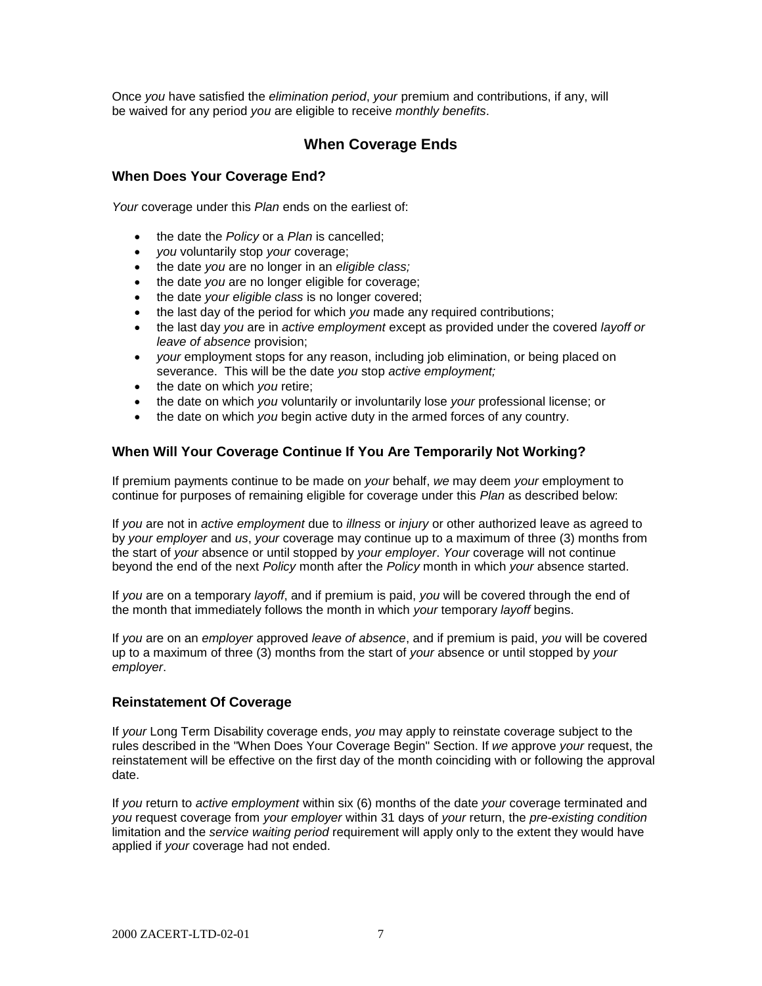Once *you* have satisfied the *elimination period*, *your* premium and contributions, if any, will be waived for any period *you* are eligible to receive *monthly benefits*.

# **When Coverage Ends**

#### **When Does Your Coverage End?**

*Your* coverage under this *Plan* ends on the earliest of:

- the date the *Policy* or a *Plan* is cancelled;
- *you* voluntarily stop *your* coverage;
- the date *you* are no longer in an *eligible class;*
- the date *you* are no longer eligible for coverage;
- the date *your eligible class* is no longer covered;
- the last day of the period for which *you* made any required contributions;
- the last day *you* are in *active employment* except as provided under the covered *layoff or leave of absence* provision;
- *your* employment stops for any reason, including job elimination, or being placed on severance. This will be the date *you* stop *active employment;*
- the date on which *you* retire;
- the date on which *you* voluntarily or involuntarily lose *your* professional license; or
- the date on which *you* begin active duty in the armed forces of any country.

#### **When Will Your Coverage Continue If You Are Temporarily Not Working?**

If premium payments continue to be made on *your* behalf, *we* may deem *your* employment to continue for purposes of remaining eligible for coverage under this *Plan* as described below:

If *you* are not in *active employment* due to *illness* or *injury* or other authorized leave as agreed to by *your employer* and *us*, *your* coverage may continue up to a maximum of three (3) months from the start of *your* absence or until stopped by *your employer*. *Your* coverage will not continue beyond the end of the next *Policy* month after the *Policy* month in which *your* absence started.

If *you* are on a temporary *layoff*, and if premium is paid, *you* will be covered through the end of the month that immediately follows the month in which *your* temporary *layoff* begins.

If *you* are on an *employer* approved *leave of absence*, and if premium is paid, *you* will be covered up to a maximum of three (3) months from the start of *your* absence or until stopped by *your employer*.

#### **Reinstatement Of Coverage**

If *your* Long Term Disability coverage ends, *you* may apply to reinstate coverage subject to the rules described in the "When Does Your Coverage Begin" Section. If *we* approve *your* request, the reinstatement will be effective on the first day of the month coinciding with or following the approval date.

If *you* return to *active employment* within six (6) months of the date *your* coverage terminated and *you* request coverage from *your employer* within 31 days of *your* return, the *pre-existing condition* limitation and the *service waiting period* requirement will apply only to the extent they would have applied if *your* coverage had not ended.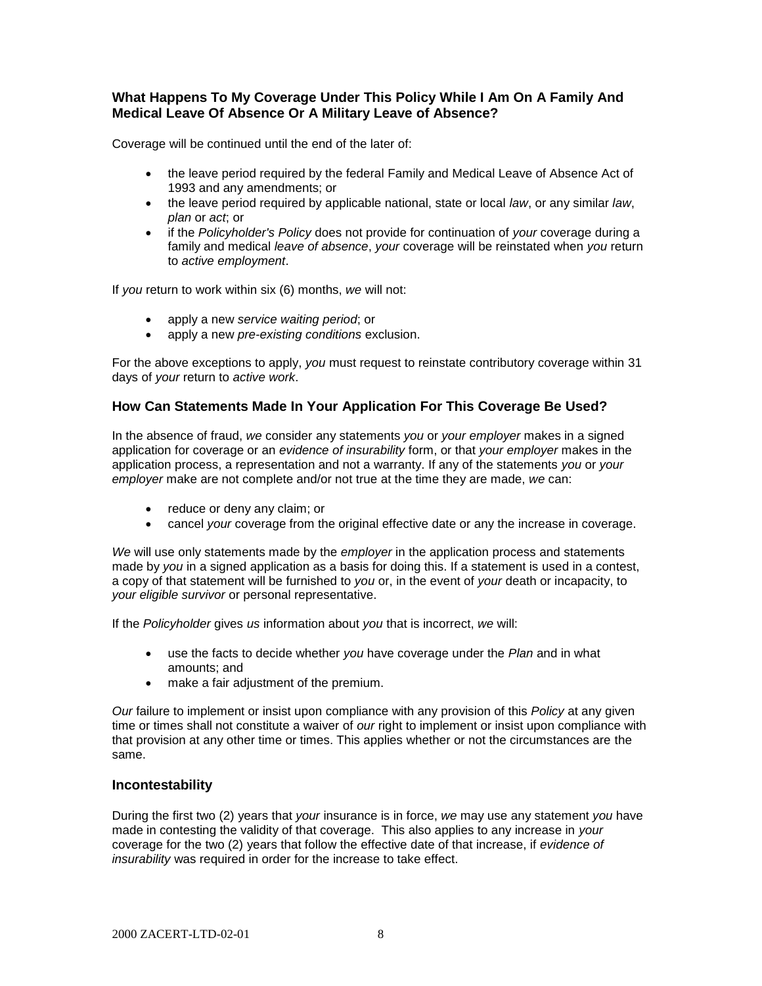# **What Happens To My Coverage Under This Policy While I Am On A Family And Medical Leave Of Absence Or A Military Leave of Absence?**

Coverage will be continued until the end of the later of:

- the leave period required by the federal Family and Medical Leave of Absence Act of 1993 and any amendments; or
- the leave period required by applicable national, state or local *law*, or any similar *law*, *plan* or *act*; or
- if the *Policyholder's Policy* does not provide for continuation of *your* coverage during a family and medical *leave of absence*, *your* coverage will be reinstated when *you* return to *active employment*.

If *you* return to work within six (6) months, *we* will not:

- apply a new *service waiting period*; or
- apply a new *pre-existing conditions* exclusion.

For the above exceptions to apply, *you* must request to reinstate contributory coverage within 31 days of *your* return to *active work*.

## **How Can Statements Made In Your Application For This Coverage Be Used?**

In the absence of fraud, *we* consider any statements *you* or *your employer* makes in a signed application for coverage or an *evidence of insurability* form, or that *your employer* makes in the application process, a representation and not a warranty. If any of the statements *you* or *your employer* make are not complete and/or not true at the time they are made, *we* can:

- reduce or deny any claim; or
- cancel *your* coverage from the original effective date or any the increase in coverage.

*We* will use only statements made by the *employer* in the application process and statements made by *you* in a signed application as a basis for doing this. If a statement is used in a contest, a copy of that statement will be furnished to *you* or, in the event of *your* death or incapacity, to *your eligible survivor* or personal representative.

If the *Policyholder* gives *us* information about *you* that is incorrect, *we* will:

- use the facts to decide whether *you* have coverage under the *Plan* and in what amounts; and
- make a fair adjustment of the premium.

*Our* failure to implement or insist upon compliance with any provision of this *Policy* at any given time or times shall not constitute a waiver of *our* right to implement or insist upon compliance with that provision at any other time or times. This applies whether or not the circumstances are the same.

#### **Incontestability**

During the first two (2) years that *your* insurance is in force, *we* may use any statement *you* have made in contesting the validity of that coverage. This also applies to any increase in *your* coverage for the two (2) years that follow the effective date of that increase, if *evidence of insurability* was required in order for the increase to take effect.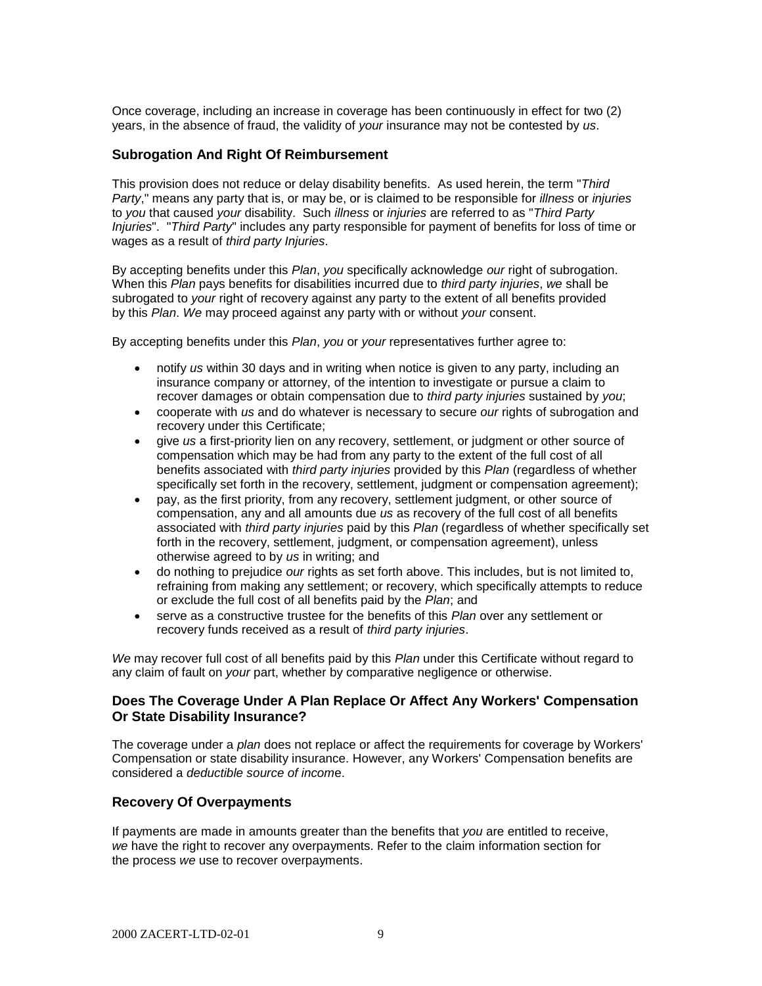Once coverage, including an increase in coverage has been continuously in effect for two (2) years, in the absence of fraud, the validity of *your* insurance may not be contested by *us*.

#### **Subrogation And Right Of Reimbursement**

This provision does not reduce or delay disability benefits. As used herein, the term "*Third Party*," means any party that is, or may be, or is claimed to be responsible for *illness* or *injuries* to *you* that caused *your* disability. Such *illness* or *injuries* are referred to as "*Third Party Injuries*". "*Third Party*" includes any party responsible for payment of benefits for loss of time or wages as a result of *third party Injuries*.

By accepting benefits under this *Plan*, *you* specifically acknowledge *our* right of subrogation. When this *Plan* pays benefits for disabilities incurred due to *third party injuries*, *we* shall be subrogated to *your* right of recovery against any party to the extent of all benefits provided by this *Plan*. *We* may proceed against any party with or without *your* consent.

By accepting benefits under this *Plan*, *you* or *your* representatives further agree to:

- notify *us* within 30 days and in writing when notice is given to any party, including an insurance company or attorney, of the intention to investigate or pursue a claim to recover damages or obtain compensation due to *third party injuries* sustained by *you*;
- cooperate with *us* and do whatever is necessary to secure *our* rights of subrogation and recovery under this Certificate;
- give *us* a first-priority lien on any recovery, settlement, or judgment or other source of compensation which may be had from any party to the extent of the full cost of all benefits associated with *third party injuries* provided by this *Plan* (regardless of whether specifically set forth in the recovery, settlement, judgment or compensation agreement);
- pay, as the first priority, from any recovery, settlement judgment, or other source of compensation, any and all amounts due *us* as recovery of the full cost of all benefits associated with *third party injuries* paid by this *Plan* (regardless of whether specifically set forth in the recovery, settlement, judgment, or compensation agreement), unless otherwise agreed to by *us* in writing; and
- do nothing to prejudice *our* rights as set forth above. This includes, but is not limited to, refraining from making any settlement; or recovery, which specifically attempts to reduce or exclude the full cost of all benefits paid by the *Plan*; and
- serve as a constructive trustee for the benefits of this *Plan* over any settlement or recovery funds received as a result of *third party injuries*.

*We* may recover full cost of all benefits paid by this *Plan* under this Certificate without regard to any claim of fault on *your* part, whether by comparative negligence or otherwise.

#### **Does The Coverage Under A Plan Replace Or Affect Any Workers' Compensation Or State Disability Insurance?**

The coverage under a *plan* does not replace or affect the requirements for coverage by Workers' Compensation or state disability insurance. However, any Workers' Compensation benefits are considered a *deductible source of incom*e.

#### **Recovery Of Overpayments**

If payments are made in amounts greater than the benefits that *you* are entitled to receive, *we* have the right to recover any overpayments. Refer to the claim information section for the process *we* use to recover overpayments.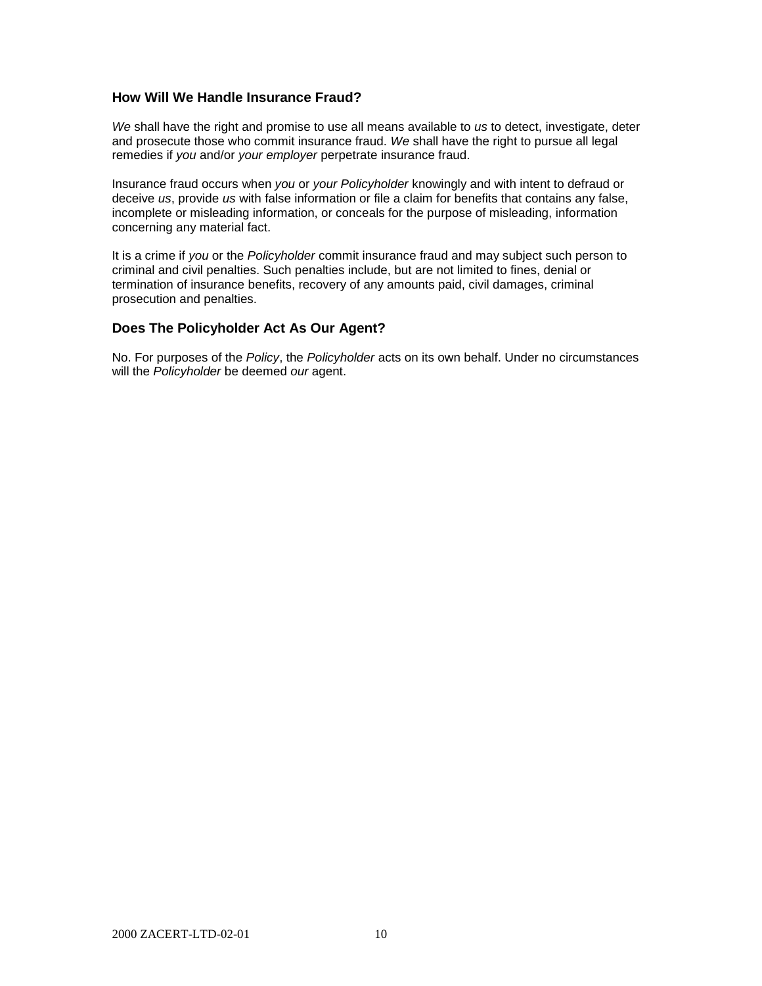### **How Will We Handle Insurance Fraud?**

*We* shall have the right and promise to use all means available to *us* to detect, investigate, deter and prosecute those who commit insurance fraud. *We* shall have the right to pursue all legal remedies if *you* and/or *your employer* perpetrate insurance fraud.

Insurance fraud occurs when *you* or *your Policyholder* knowingly and with intent to defraud or deceive *us*, provide *us* with false information or file a claim for benefits that contains any false, incomplete or misleading information, or conceals for the purpose of misleading, information concerning any material fact.

It is a crime if *you* or the *Policyholder* commit insurance fraud and may subject such person to criminal and civil penalties. Such penalties include, but are not limited to fines, denial or termination of insurance benefits, recovery of any amounts paid, civil damages, criminal prosecution and penalties.

## **Does The Policyholder Act As Our Agent?**

No. For purposes of the *Policy*, the *Policyholder* acts on its own behalf. Under no circumstances will the *Policyholder* be deemed *our* agent.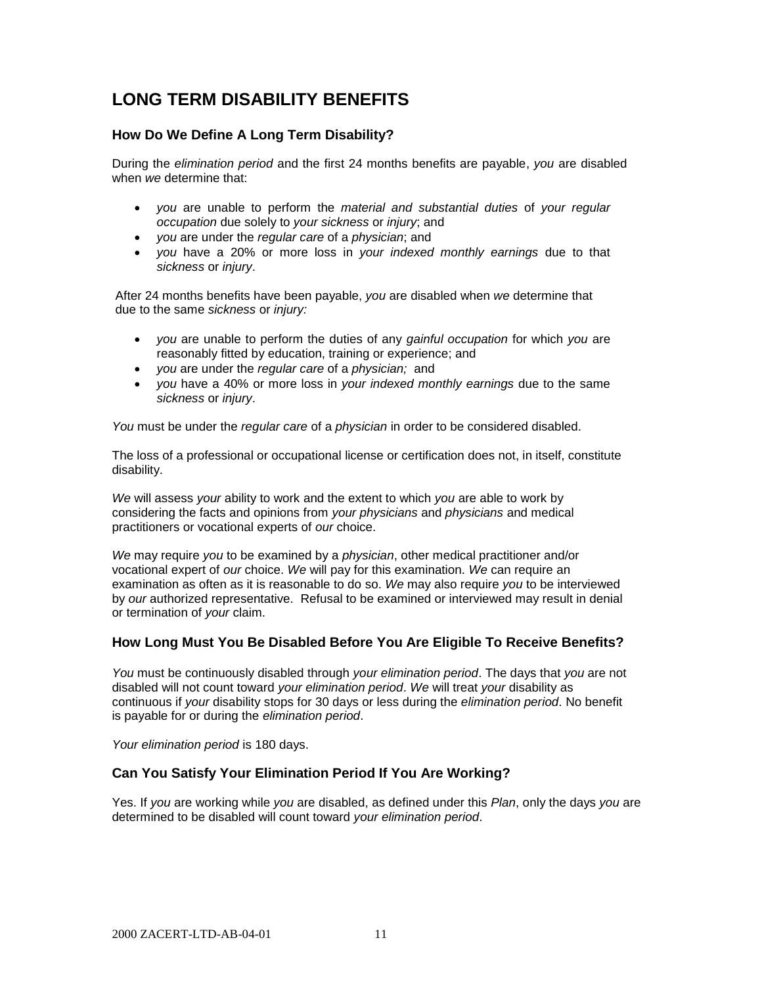# **LONG TERM DISABILITY BENEFITS**

## **How Do We Define A Long Term Disability?**

During the *elimination period* and the first 24 months benefits are payable, *you* are disabled when *we* determine that:

- *you* are unable to perform the *material and substantial duties* of *your regular occupation* due solely to *your sickness* or *injury*; and
- *you* are under the *regular care* of a *physician*; and
- *you* have a 20% or more loss in *your indexed monthly earnings* due to that *sickness* or *injury*.

After 24 months benefits have been payable, *you* are disabled when *we* determine that due to the same *sickness* or *injury:*

- *you* are unable to perform the duties of any *gainful occupation* for which *you* are reasonably fitted by education, training or experience; and
- *you* are under the *regular care* of a *physician;* and
- *you* have a 40% or more loss in *your indexed monthly earnings* due to the same *sickness* or *injury*.

*You* must be under the *regular care* of a *physician* in order to be considered disabled.

The loss of a professional or occupational license or certification does not, in itself, constitute disability.

*We* will assess *your* ability to work and the extent to which *you* are able to work by considering the facts and opinions from *your physicians* and *physicians* and medical practitioners or vocational experts of *our* choice.

*We* may require *you* to be examined by a *physician*, other medical practitioner and/or vocational expert of *our* choice. *We* will pay for this examination. *We* can require an examination as often as it is reasonable to do so. *We* may also require *you* to be interviewed by *our* authorized representative. Refusal to be examined or interviewed may result in denial or termination of *your* claim.

#### **How Long Must You Be Disabled Before You Are Eligible To Receive Benefits?**

*You* must be continuously disabled through *your elimination period*. The days that *you* are not disabled will not count toward *your elimination period*. *We* will treat *your* disability as continuous if *your* disability stops for 30 days or less during the *elimination period*. No benefit is payable for or during the *elimination period*.

*Your elimination period* is 180 days.

#### **Can You Satisfy Your Elimination Period If You Are Working?**

Yes. If *you* are working while *you* are disabled, as defined under this *Plan*, only the days *you* are determined to be disabled will count toward *your elimination period*.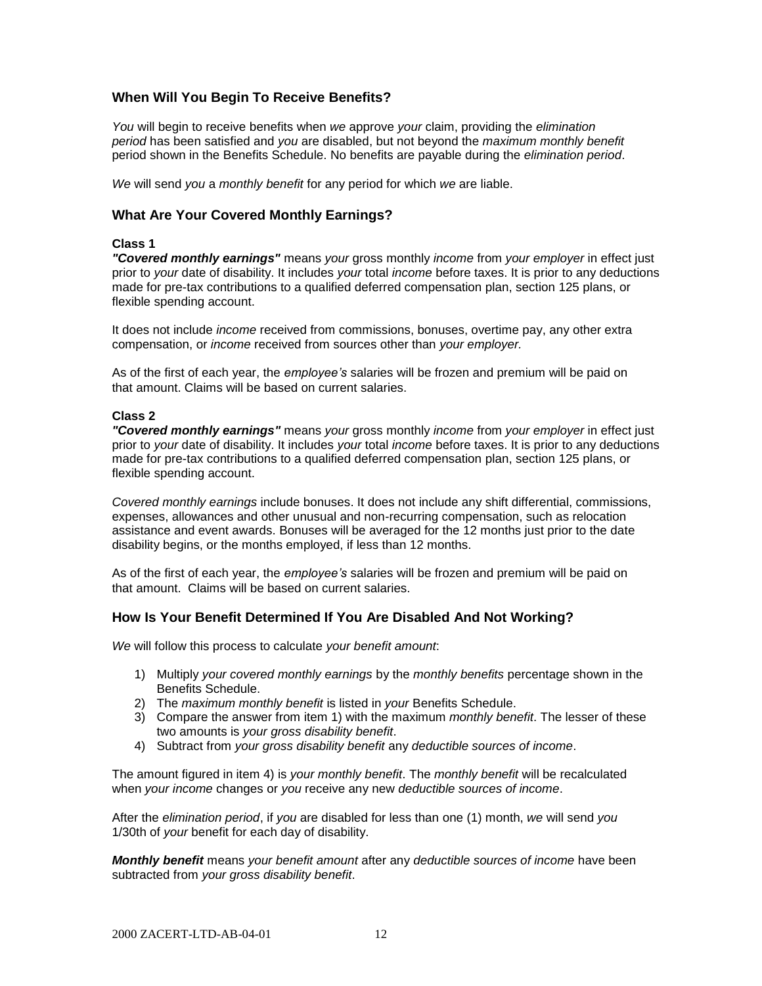# **When Will You Begin To Receive Benefits?**

*You* will begin to receive benefits when *we* approve *your* claim, providing the *elimination period* has been satisfied and *you* are disabled, but not beyond the *maximum monthly benefit*  period shown in the Benefits Schedule. No benefits are payable during the *elimination period*.

*We* will send *you* a *monthly benefit* for any period for which *we* are liable.

### **What Are Your Covered Monthly Earnings?**

#### **Class 1**

*"Covered monthly earnings"* means *your* gross monthly *income* from *your employer* in effect just prior to *your* date of disability. It includes *your* total *income* before taxes. It is prior to any deductions made for pre-tax contributions to a qualified deferred compensation plan, section 125 plans, or flexible spending account.

It does not include *income* received from commissions, bonuses, overtime pay, any other extra compensation, or *income* received from sources other than *your employer.*

As of the first of each year, the *employee's* salaries will be frozen and premium will be paid on that amount. Claims will be based on current salaries.

#### **Class 2**

*"Covered monthly earnings"* means *your* gross monthly *income* from *your employer* in effect just prior to *your* date of disability. It includes *your* total *income* before taxes. It is prior to any deductions made for pre-tax contributions to a qualified deferred compensation plan, section 125 plans, or flexible spending account.

*Covered monthly earnings* include bonuses. It does not include any shift differential, commissions, expenses, allowances and other unusual and non-recurring compensation, such as relocation assistance and event awards. Bonuses will be averaged for the 12 months just prior to the date disability begins, or the months employed, if less than 12 months.

As of the first of each year, the *employee's* salaries will be frozen and premium will be paid on that amount. Claims will be based on current salaries.

#### **How Is Your Benefit Determined If You Are Disabled And Not Working?**

*We* will follow this process to calculate *your benefit amount*:

- 1) Multiply *your covered monthly earnings* by the *monthly benefits* percentage shown in the Benefits Schedule.
- 2) The *maximum monthly benefit* is listed in *your* Benefits Schedule.
- 3) Compare the answer from item 1) with the maximum *monthly benefit*. The lesser of these two amounts is *your gross disability benefit*.
- 4) Subtract from *your gross disability benefit* any *deductible sources of income*.

The amount figured in item 4) is *your monthly benefit*. The *monthly benefit* will be recalculated when *your income* changes or *you* receive any new *deductible sources of income*.

After the *elimination period*, if *you* are disabled for less than one (1) month, *we* will send *you* 1/30th of *your* benefit for each day of disability.

*Monthly benefit* means *your benefit amount* after any *deductible sources of income* have been subtracted from *your gross disability benefit*.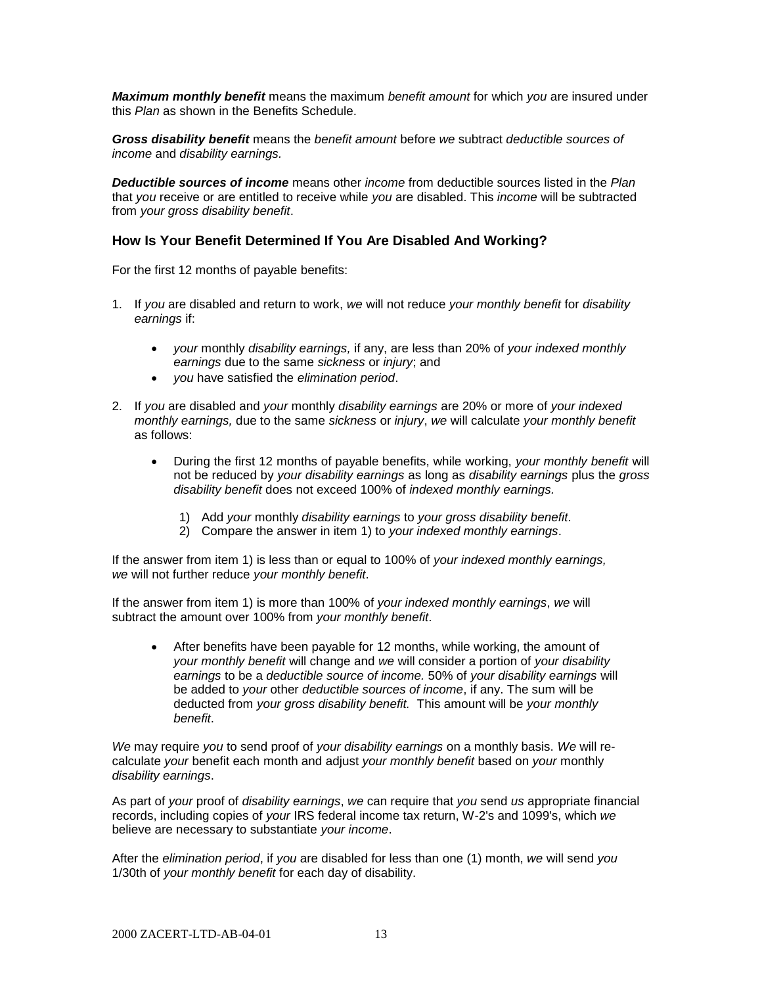*Maximum monthly benefit* means the maximum *benefit amount* for which *you* are insured under this *Plan* as shown in the Benefits Schedule.

*Gross disability benefit* means the *benefit amount* before *we* subtract *deductible sources of income* and *disability earnings.*

*Deductible sources of income* means other *income* from deductible sources listed in the *Plan* that *you* receive or are entitled to receive while *you* are disabled. This *income* will be subtracted from *your gross disability benefit*.

### **How Is Your Benefit Determined If You Are Disabled And Working?**

For the first 12 months of payable benefits:

- 1. If *you* are disabled and return to work, *we* will not reduce *your monthly benefit* for *disability earnings* if:
	- *your* monthly *disability earnings,* if any, are less than 20% of *your indexed monthly earnings* due to the same *sickness* or *injury*; and
	- *you* have satisfied the *elimination period*.
- 2. If *you* are disabled and *your* monthly *disability earnings* are 20% or more of *your indexed monthly earnings,* due to the same *sickness* or *injury*, *we* will calculate *your monthly benefit* as follows:
	- During the first 12 months of payable benefits, while working, *your monthly benefit* will not be reduced by *your disability earnings* as long as *disability earnings* plus the *gross disability benefit* does not exceed 100% of *indexed monthly earnings.*
		- 1) Add *your* monthly *disability earnings* to *your gross disability benefit*.
		- 2) Compare the answer in item 1) to *your indexed monthly earnings*.

If the answer from item 1) is less than or equal to 100% of *your indexed monthly earnings, we* will not further reduce *your monthly benefit*.

If the answer from item 1) is more than 100% of *your indexed monthly earnings*, *we* will subtract the amount over 100% from *your monthly benefit*.

 After benefits have been payable for 12 months, while working, the amount of *your monthly benefit* will change and *we* will consider a portion of *your disability earnings* to be a *deductible source of income.* 50% of *your disability earnings* will be added to *your* other *deductible sources of income*, if any. The sum will be deducted from *your gross disability benefit.* This amount will be *your monthly benefit*.

*We* may require *you* to send proof of *your disability earnings* on a monthly basis. *We* will recalculate *your* benefit each month and adjust *your monthly benefit* based on *your* monthly *disability earnings*.

As part of *your* proof of *disability earnings*, *we* can require that *you* send *us* appropriate financial records, including copies of *your* IRS federal income tax return, W-2's and 1099's, which *we* believe are necessary to substantiate *your income*.

After the *elimination period*, if *you* are disabled for less than one (1) month, *we* will send *you* 1/30th of *your monthly benefit* for each day of disability.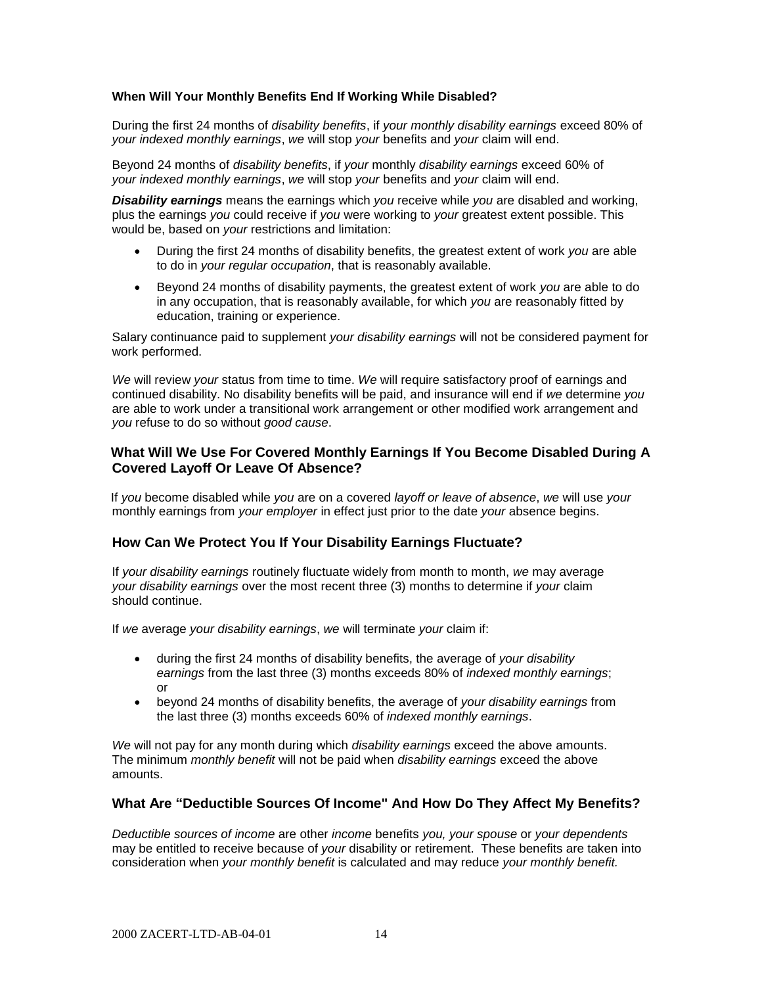#### **When Will Your Monthly Benefits End If Working While Disabled?**

During the first 24 months of *disability benefits*, if *your monthly disability earnings* exceed 80% of *your indexed monthly earnings*, *we* will stop *your* benefits and *your* claim will end.

Beyond 24 months of *disability benefits*, if *your* monthly *disability earnings* exceed 60% of *your indexed monthly earnings*, *we* will stop *your* benefits and *your* claim will end.

*Disability earnings* means the earnings which *you* receive while *you* are disabled and working, plus the earnings *you* could receive if *you* were working to *your* greatest extent possible. This would be, based on *your* restrictions and limitation:

- During the first 24 months of disability benefits, the greatest extent of work *you* are able to do in *your regular occupation*, that is reasonably available.
- Beyond 24 months of disability payments, the greatest extent of work *you* are able to do in any occupation, that is reasonably available, for which *you* are reasonably fitted by education, training or experience.

Salary continuance paid to supplement *your disability earnings* will not be considered payment for work performed.

*We* will review *your* status from time to time. *We* will require satisfactory proof of earnings and continued disability. No disability benefits will be paid, and insurance will end if *we* determine *you* are able to work under a transitional work arrangement or other modified work arrangement and *you* refuse to do so without *good cause*.

#### **What Will We Use For Covered Monthly Earnings If You Become Disabled During A Covered Layoff Or Leave Of Absence?**

If *you* become disabled while *you* are on a covered *layoff or leave of absence*, *we* will use *your* monthly earnings from *your employer* in effect just prior to the date *your* absence [begins.](http://begins.is/)

#### **How Can We Protect You If Your Disability Earnings Fluctuate?**

If *your disability earnings* routinely fluctuate widely from month to month, *we* may average *your disability earnings* over the most recent three (3) months to determine if *your* claim should continue.

If *we* average *your disability earnings*, *we* will terminate *your* claim if:

- during the first 24 months of disability benefits, the average of *your disability earnings* from the last three (3) months exceeds 80% of *indexed monthly earnings*; or
- beyond 24 months of disability benefits, the average of *your disability earnings* from the last three (3) months exceeds 60% of *indexed monthly earnings*.

*We* will not pay for any month during which *disability earnings* exceed the above amounts. The minimum *monthly benefit* will not be paid when *disability earnings* exceed the above amounts.

#### **What Are "Deductible Sources Of Income" And How Do They Affect My Benefits?**

*Deductible sources of income* are other *income* benefits *you, your spouse* or *your dependents* may be entitled to receive because of *your* disability or retirement. These benefits are taken into consideration when *your monthly benefit* is calculated and may reduce *your monthly benefit.*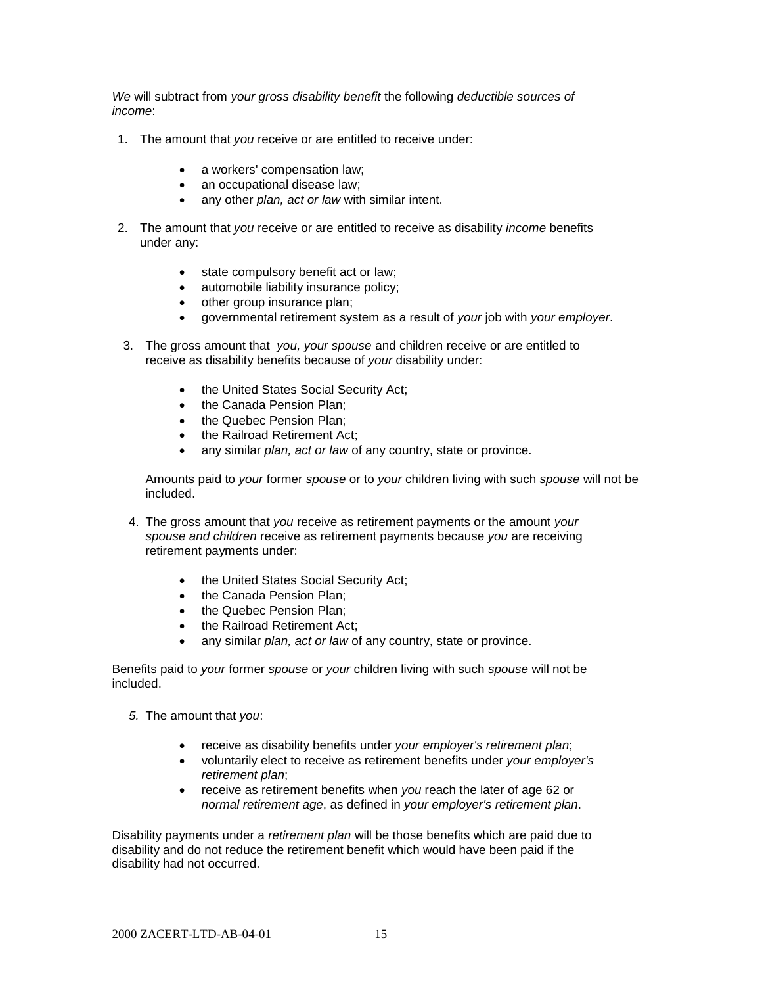*We* will subtract from *your gross disability benefit* the following *deductible sources of income*:

- 1. The amount that *you* receive or are entitled to receive under:
	- a workers' compensation law;
	- an occupational disease law;
	- any other *plan, act or law* with similar intent.
- 2. The amount that *you* receive or are entitled to receive as disability *income* benefits under any:
	- state compulsory benefit act or law;
	- automobile liability insurance policy;
	- other group insurance plan;
	- governmental retirement system as a result of *your* job with *your employer*.
- 3. The gross amount that *you, your spouse* and children receive or are entitled to receive as disability benefits because of *your* disability under:
	- the United States Social Security Act;
	- the Canada Pension Plan:
	- the Quebec Pension Plan:
	- the Railroad Retirement Act;
	- any similar *plan, act or law* of any country, state or province.

Amounts paid to *your* former *spouse* or to *your* children living with such *spouse* will not be included.

- 4. The gross amount that *you* receive as retirement payments or the amount *your spouse and children* receive as retirement payments because *you* are receiving retirement payments under:
	- the United States Social Security Act;
	- the Canada Pension Plan:
	- the Quebec Pension Plan;
	- the Railroad Retirement Act:
	- any similar *plan, act or law* of any country, state or province.

Benefits paid to *your* former *spouse* or *your* children living with such *spouse* will not be included.

- *5.* The amount that *you*:
	- receive as disability benefits under *your employer's retirement plan*;
	- voluntarily elect to receive as retirement benefits under *your employer's retirement plan*;
	- receive as retirement benefits when *you* reach the later of age 62 or *normal retirement age*, as defined in *your employer's retirement plan*.

Disability payments under a *retirement plan* will be those benefits which are paid due to disability and do not reduce the retirement benefit which would have been paid if the disability had not occurred.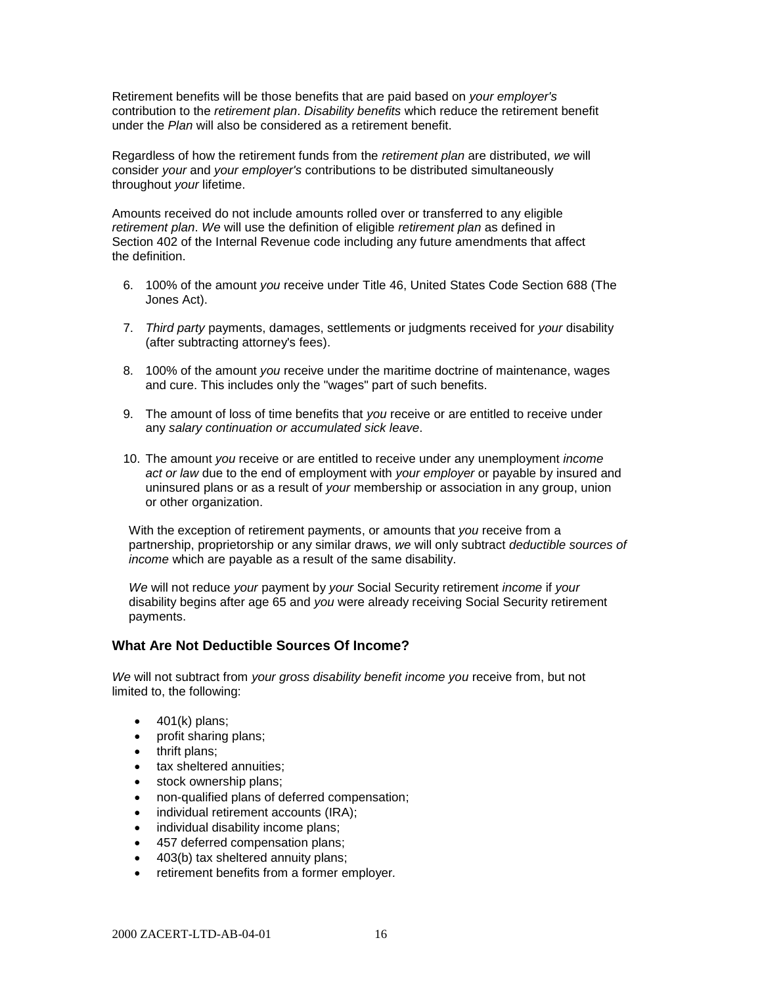Retirement benefits will be those benefits that are paid based on *your employer's*  contribution to the *retirement plan*. *Disability benefits* which reduce the retirement benefit under the *Plan* will also be considered as a retirement benefit.

Regardless of how the retirement funds from the *retirement plan* are distributed, *we* will consider *your* and *your employer's* contributions to be distributed simultaneously throughout *your* lifetime.

Amounts received do not include amounts rolled over or transferred to any eligible *retirement plan*. *We* will use the definition of eligible *retirement plan* as defined in Section 402 of the Internal Revenue code including any future amendments that affect the definition.

- 6. 100% of the amount *you* receive under Title 46, United States Code Section 688 (The Jones Act).
- 7. *Third party* payments, damages, settlements or judgments received for *your* disability (after subtracting attorney's fees).
- 8. 100% of the amount *you* receive under the maritime doctrine of maintenance, wages and cure. This includes only the "wages" part of such benefits.
- 9. The amount of loss of time benefits that *you* receive or are entitled to receive under any *salary continuation or accumulated sick leave*.
- 10. The amount *you* receive or are entitled to receive under any unemployment *income act or law* due to the end of employment with *your employer* or payable by insured and uninsured plans or as a result of *your* membership or association in any group, union or other organization.

With the exception of retirement payments, or amounts that *you* receive from a partnership, proprietorship or any similar draws, *we* will only subtract *deductible sources of income* which are payable as a result of the same disability.

*We* will not reduce *your* payment by *your* Social Security retirement *income* if *your* disability begins after age 65 and *you* were already receiving Social Security retirement payments.

### **What Are Not Deductible Sources Of Income?**

*We* will not subtract from *your gross disability benefit income you* receive from, but not limited to, the following:

- $\bullet$  401(k) plans;
- profit sharing plans;
- thrift plans;
- tax sheltered annuities;
- stock ownership plans;
- non-qualified plans of deferred compensation;
- individual retirement accounts (IRA);
- individual disability income plans;
- 457 deferred compensation plans;
- 403(b) tax sheltered annuity plans:
- retirement benefits from a former employer*.*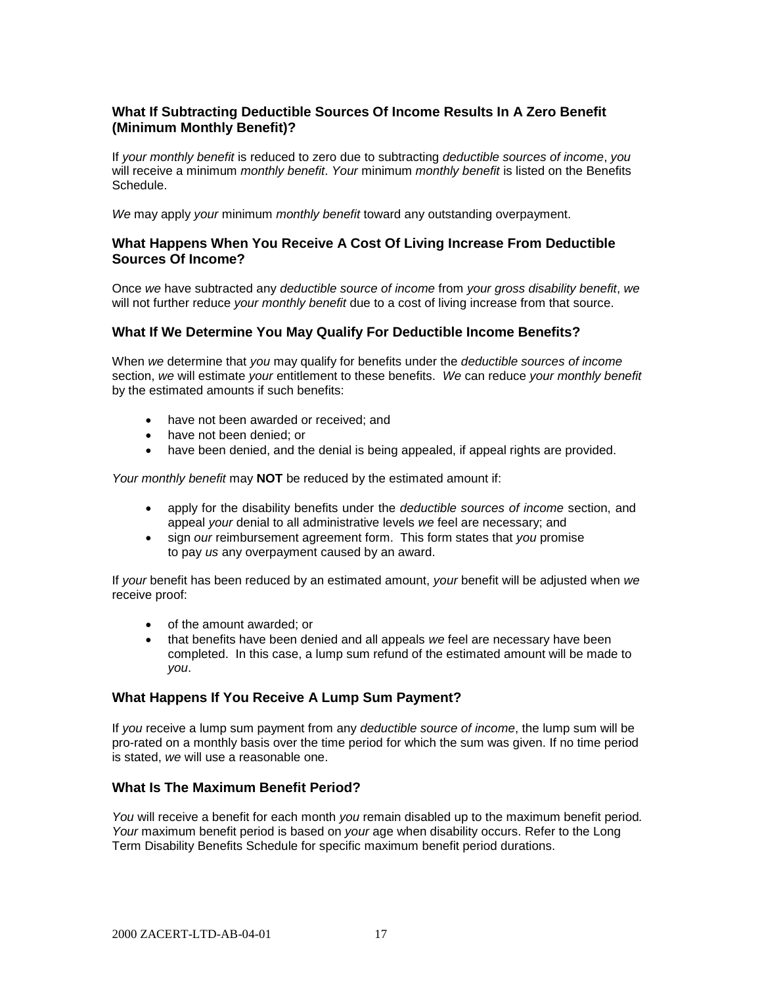## **What If Subtracting Deductible Sources Of Income Results In A Zero Benefit (Minimum Monthly Benefit)?**

If *your monthly benefit* is reduced to zero due to subtracting *deductible sources of income*, *you* will receive a minimum *monthly benefit*. *Your* minimum *monthly benefit* is listed on the Benefits Schedule.

*We* may apply *your* minimum *monthly benefit* toward any outstanding overpayment.

#### **What Happens When You Receive A Cost Of Living Increase From Deductible Sources Of Income?**

Once *we* have subtracted any *deductible source of income* from *your gross disability benefit*, *we* will not further reduce *your monthly benefit* due to a cost of living increase from that source.

#### **What If We Determine You May Qualify For Deductible Income Benefits?**

When *we* determine that *you* may qualify for benefits under the *deductible sources of income*  section, *we* will estimate *your* entitlement to these benefits. *We* can reduce *your monthly benefit* by the estimated amounts if such benefits:

- have not been awarded or received; and
- have not been denied; or
- have been denied, and the denial is being appealed, if appeal rights are provided.

*Your monthly benefit* may **NOT** be reduced by the estimated amount if:

- apply for the disability benefits under the *deductible sources of income* section, and appeal *your* denial to all administrative levels *we* feel are necessary; and
- sign *our* reimbursement agreement form. This form states that *you* promise to pay *us* any overpayment caused by an award.

If *your* benefit has been reduced by an estimated amount, *your* benefit will be adjusted when *we* receive proof:

- of the amount awarded; or
- that benefits have been denied and all appeals *we* feel are necessary have been completed. In this case, a lump sum refund of the estimated amount will be made to *you*.

#### **What Happens If You Receive A Lump Sum Payment?**

If *you* receive a lump sum payment from any *deductible source of income*, the lump sum will be pro-rated on a monthly basis over the time period for which the sum was given. If no time period is stated, *we* will use a reasonable one.

#### **What Is The Maximum Benefit Period?**

*You* will receive a benefit for each month *you* remain disabled up to the maximum benefit period*. Your* maximum benefit period is based on *your* age when disability occurs. Refer to the Long Term Disability Benefits Schedule for specific maximum benefit period durations.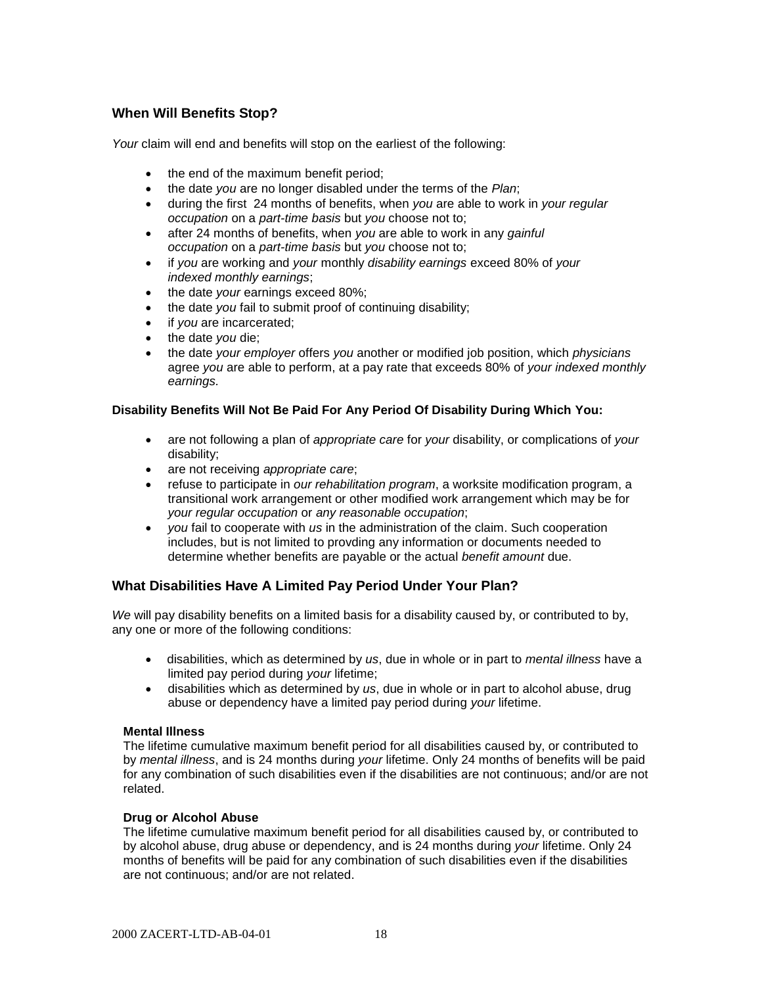# **When Will Benefits Stop?**

*Your* claim will end and benefits will stop on the earliest of the following:

- the end of the maximum benefit period;
- the date *you* are no longer disabled under the terms of the *Plan*;
- during the first 24 months of benefits, when *you* are able to work in *your regular occupation* on a *part-time basis* but *you* choose not to;
- after 24 months of benefits, when *you* are able to work in any *gainful occupation* on a *part-time basis* but *you* choose not to;
- if *you* are working and *your* monthly *disability earnings* exceed 80% of *your indexed monthly earnings*;
- the date *your* earnings exceed 80%;
- the date *you* fail to submit proof of continuing disability;
- if *you* are incarcerated;
- the date *you* die:
- the date *your employer* offers *you* another or modified job position, which *physicians*  agree *you* are able to perform, at a pay rate that exceeds 80% of *your indexed monthly earnings.*

#### **Disability Benefits Will Not Be Paid For Any Period Of Disability During Which You:**

- are not following a plan of *appropriate care* for *your* disability, or complications of *your* disability;
- are not receiving *appropriate care*;
- refuse to participate in *our rehabilitation program*, a worksite modification program, a transitional work arrangement or other modified work arrangement which may be for *your regular occupation* or *any reasonable occupation*;
- *you* fail to cooperate with *us* in the administration of the claim. Such cooperation includes, but is not limited to provding any information or documents needed to determine whether benefits are payable or the actual *benefit amount* due.

# **What Disabilities Have A Limited Pay Period Under Your Plan?**

*We* will pay disability benefits on a limited basis for a disability caused by, or contributed to by, any one or more of the following conditions:

- disabilities, which as determined by *us*, due in whole or in part to *mental illness* have a limited pay period during *your* lifetime;
- disabilities which as determined by *us*, due in whole or in part to alcohol abuse, drug abuse or dependency have a limited pay period during *your* lifetime.

#### **Mental Illness**

The lifetime cumulative maximum benefit period for all disabilities caused by, or contributed to by *mental illness*, and is 24 months during *your* lifetime. Only 24 months of benefits will be paid for any combination of such disabilities even if the disabilities are not continuous; and/or are not related.

#### **Drug or Alcohol Abuse**

The lifetime cumulative maximum benefit period for all disabilities caused by, or contributed to by alcohol abuse, drug abuse or dependency, and is 24 months during *your* lifetime. Only 24 months of benefits will be paid for any combination of such disabilities even if the disabilities are not continuous; and/or are not related.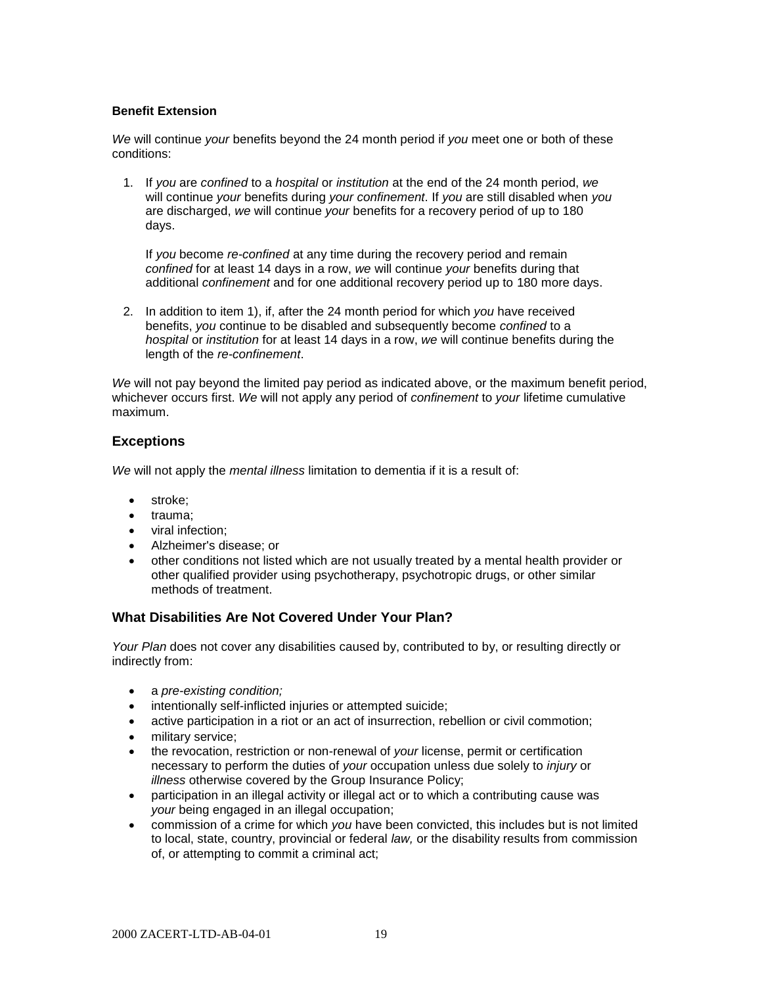#### **Benefit Extension**

*We* will continue *your* benefits beyond the 24 month period if *you* meet one or both of these conditions:

1. If *you* are *confined* to a *hospital* or *institution* at the end of the 24 month period, *we* will continue *your* benefits during *your confinement*. If *you* are still disabled when *you* are discharged, *we* will continue *your* benefits for a recovery period of up to 180 days.

If *you* become *re-confined* at any time during the recovery period and remain *confined* for at least 14 days in a row, *we* will continue *your* benefits during that additional *confinement* and for one additional recovery period up to 180 more days.

2. In addition to item 1), if, after the 24 month period for which *you* have received benefits, *you* continue to be disabled and subsequently become *confined* to a *hospital* or *institution* for at least 14 days in a row, *we* will continue benefits during the length of the *re-confinement*.

*We* will not pay beyond the limited pay period as indicated above, or the maximum benefit period, whichever occurs first. *We* will not apply any period of *confinement* to *your* lifetime cumulative maximum.

# **Exceptions**

*We* will not apply the *mental illness* limitation to dementia if it is a result of:

- stroke;
- trauma;
- viral infection:
- Alzheimer's disease; or
- other conditions not listed which are not usually treated by a mental health provider or other qualified provider using psychotherapy, psychotropic drugs, or other similar methods of treatment.

#### **What Disabilities Are Not Covered Under Your Plan?**

*Your Plan* does not cover any disabilities caused by, contributed to by, or resulting directly or indirectly from:

- a *pre-existing condition;*
- **•** intentionally self-inflicted injuries or attempted suicide;
- active participation in a riot or an act of insurrection, rebellion or civil commotion;
- military service;
- the revocation, restriction or non-renewal of *your* license, permit or certification necessary to perform the duties of *your* occupation unless due solely to *injury* or *illness* otherwise covered by the Group Insurance Policy;
- participation in an illegal activity or illegal act or to which a contributing cause was *your* being engaged in an illegal occupation;
- commission of a crime for which *you* have been convicted, this includes but is not limited to local, state, country, provincial or federal *law,* or the disability results from commission of, or attempting to commit a criminal act;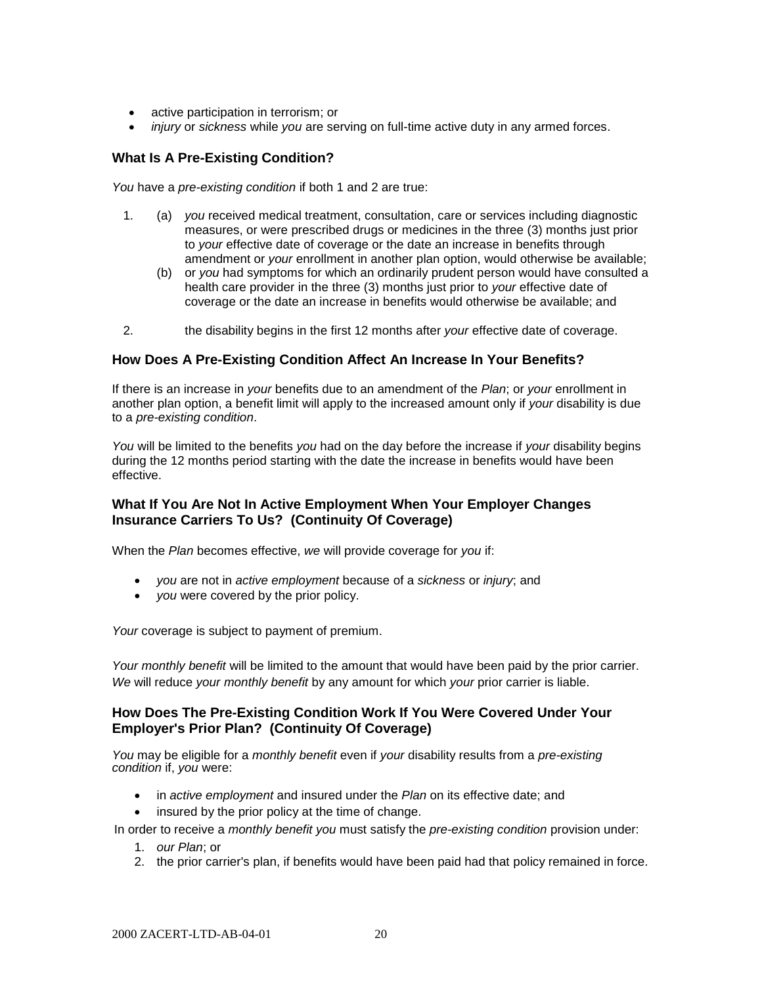- active participation in terrorism; or
- *injury* or *sickness* while *you* are serving on full-time active duty in any armed forces.

## **What Is A Pre-Existing Condition?**

*You* have a *pre-existing condition* if both 1 and 2 are true:

- 1. (a) *you* received medical treatment, consultation, care or services including diagnostic measures, or were prescribed drugs or medicines in the three (3) months just prior to *your* effective date of coverage or the date an increase in benefits through amendment or *your* enrollment in another plan option, would otherwise be available;
	- (b) or *you* had symptoms for which an ordinarily prudent person would have consulted a health care provider in the three (3) months just prior to *your* effective date of coverage or the date an increase in benefits would otherwise be available; and
- 2. the disability begins in the first 12 months after *your* effective date of coverage.

#### **How Does A Pre-Existing Condition Affect An Increase In Your Benefits?**

If there is an increase in *your* benefits due to an amendment of the *Plan*; or *your* enrollment in another plan option, a benefit limit will apply to the increased amount only if *your* disability is due to a *pre-existing condition*.

*You* will be limited to the benefits *you* had on the day before the increase if *your* disability begins during the 12 months period starting with the date the increase in benefits would have been effective.

## **What If You Are Not In Active Employment When Your Employer Changes Insurance Carriers To Us? (Continuity Of Coverage)**

When the *Plan* becomes effective, *we* will provide coverage for *you* if:

- *you* are not in *active employment* because of a *sickness* or *injury*; and
- *you* were covered by the prior policy.

*Your* coverage is subject to payment of premium.

*Your monthly benefit* will be limited to the amount that would have been paid by the prior carrier. *We* will reduce *your monthly benefit* by any amount for which *your* prior carrier is liable.

#### **How Does The Pre-Existing Condition Work If You Were Covered Under Your Employer's Prior Plan? (Continuity Of Coverage)**

*You* may be eligible for a *monthly benefit* even if *your* disability results from a *pre-existing condition* if, *you* were:

- in *active employment* and insured under the *Plan* on its effective date; and
- insured by the prior policy at the time of change.

In order to receive a *monthly benefit you* must satisfy the *pre-existing condition* provision under:

- 1. *our Plan*; or
- 2. the prior carrier's plan, if benefits would have been paid had that policy remained in force.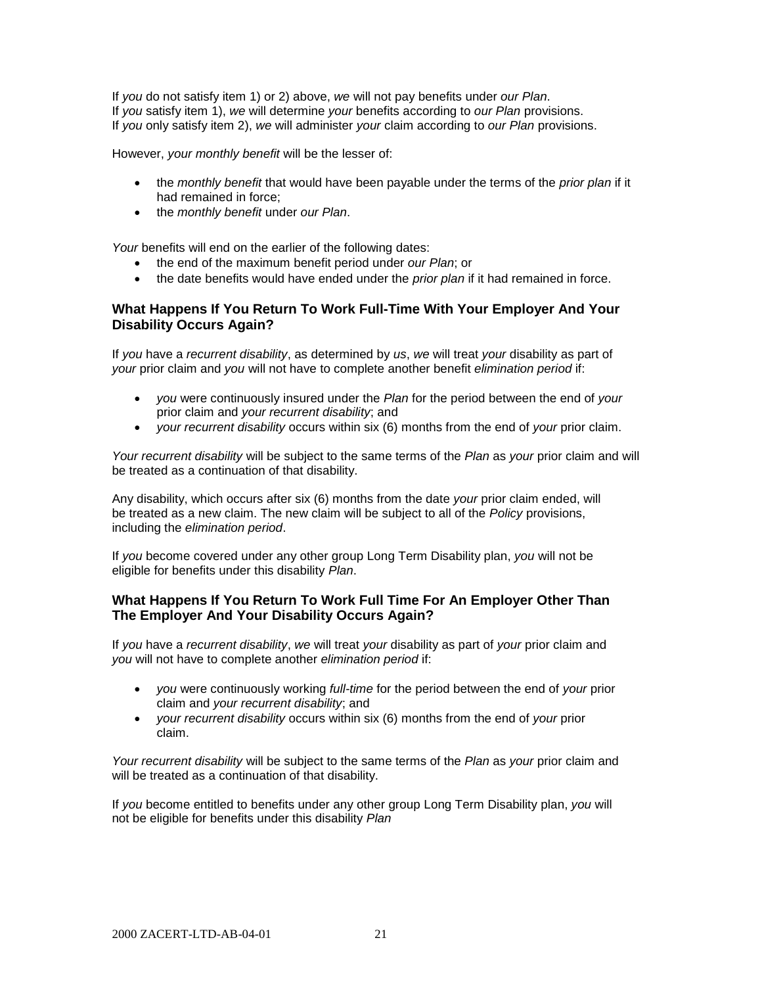If *you* do not satisfy item 1) or 2) above, *we* will not pay benefits under *our Plan*. If *you* satisfy item 1), *we* will determine *your* benefits according to *our Plan* provisions. If *you* only satisfy item 2), *we* will administer *your* claim according to *our Plan* provisions.

However, *your monthly benefit* will be the lesser of:

- the *monthly benefit* that would have been payable under the terms of the *prior plan* if it had remained in force;
- the *monthly benefit* under *our Plan*.

*Your* benefits will end on the earlier of the following dates:

- the end of the maximum benefit period under *our Plan*; or
- the date benefits would have ended under the *prior plan* if it had remained in force.

### **What Happens If You Return To Work Full-Time With Your Employer And Your Disability Occurs Again?**

If *you* have a *recurrent disability*, as determined by *us*, *we* will treat *your* disability as part of *your* prior claim and *you* will not have to complete another benefit *elimination period* if:

- *you* were continuously insured under the *Plan* for the period between the end of *your* prior claim and *your recurrent disability*; and
- *your recurrent disability* occurs within six (6) months from the end of *your* prior claim.

*Your recurrent disability* will be subject to the same terms of the *Plan* as *your* prior claim and will be treated as a continuation of that disability.

Any disability, which occurs after six (6) months from the date *your* prior claim ended, will be treated as a new claim. The new claim will be subject to all of the *Policy* provisions, including the *elimination period*.

If *you* become covered under any other group Long Term Disability plan, *you* will not be eligible for benefits under this disability *Plan*.

## **What Happens If You Return To Work Full Time For An Employer Other Than The Employer And Your Disability Occurs Again?**

If *you* have a *recurrent disability*, *we* will treat *your* disability as part of *your* prior claim and *you* will not have to complete another *elimination period* if:

- *you* were continuously working *full-time* for the period between the end of *your* prior claim and *your recurrent disability*; and
- *your recurrent disability* occurs within six (6) months from the end of *your* prior claim.

*Your recurrent disability* will be subject to the same terms of the *Plan* as *your* prior claim and will be treated as a continuation of that disability.

If *you* become entitled to benefits under any other group Long Term Disability plan, *you* will not be eligible for benefits under this disability *Plan*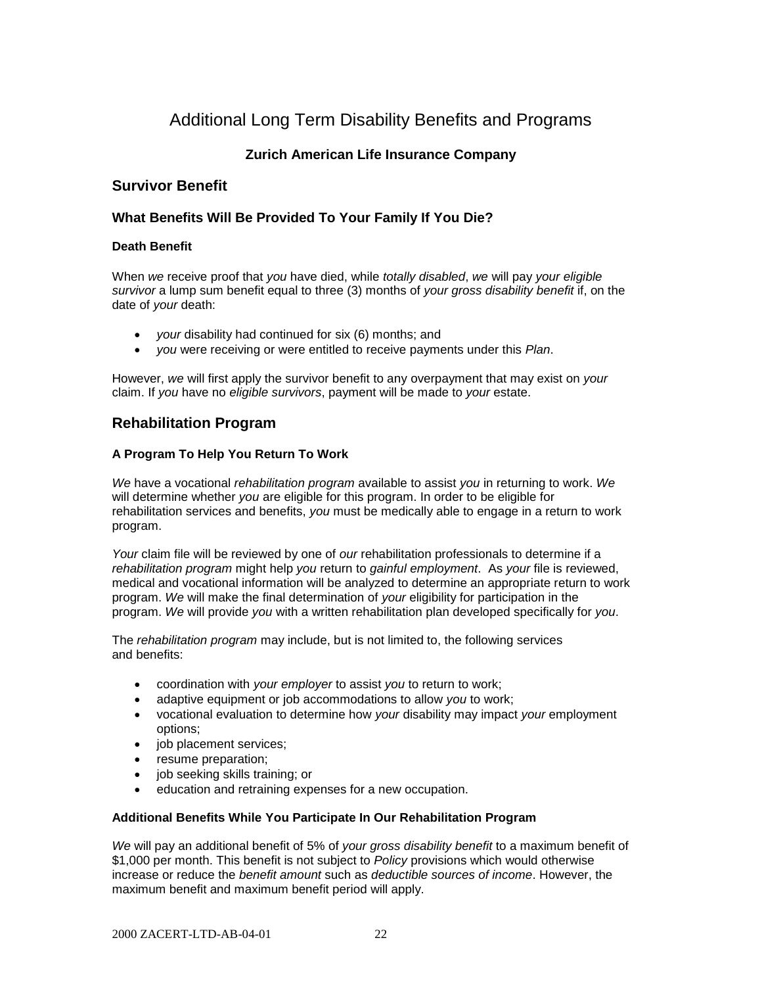# Additional Long Term Disability Benefits and Programs

# **Zurich American Life Insurance Company**

# **Survivor Benefit**

## **What Benefits Will Be Provided To Your Family If You Die?**

#### **Death Benefit**

When *we* receive proof that *you* have died, while *totally disabled*, *we* will pay *your eligible survivor* a lump sum benefit equal to three (3) months of *your gross disability benefit* if, on the date of *your* death:

- *your* disability had continued for six (6) months; and
- *you* were receiving or were entitled to receive payments under this *Plan*.

However, *we* will first apply the survivor benefit to any overpayment that may exist on *your* claim. If *you* have no *eligible survivors*, payment will be made to *your* estate.

# **Rehabilitation Program**

#### **A Program To Help You Return To Work**

*We* have a vocational *rehabilitation program* available to assist *you* in returning to work. *We* will determine whether *you* are eligible for this program. In order to be eligible for rehabilitation services and benefits, *you* must be medically able to engage in a return to work program.

*Your* claim file will be reviewed by one of *our* rehabilitation professionals to determine if a *rehabilitation program* might help *you* return to *gainful employment*. As *your* file is reviewed, medical and vocational information will be analyzed to determine an appropriate return to work program. *We* will make the final determination of *your* eligibility for participation in the program. *We* will provide *you* with a written rehabilitation plan developed specifically for *you*.

The *rehabilitation program* may include, but is not limited to, the following services and benefits:

- coordination with *your employer* to assist *you* to return to work;
- adaptive equipment or job accommodations to allow *you* to work;
- vocational evaluation to determine how *your* disability may impact *your* employment options;
- job placement services;
- resume preparation;
- job seeking skills training; or
- education and retraining expenses for a new occupation.

#### **Additional Benefits While You Participate In Our Rehabilitation Program**

*We* will pay an additional benefit of 5% of *your gross disability benefit* to a maximum benefit of \$1,000 per month. This benefit is not subject to *Policy* provisions which would otherwise increase or reduce the *benefit amount* such as *deductible sources of income*. However, the maximum benefit and maximum benefit period will apply.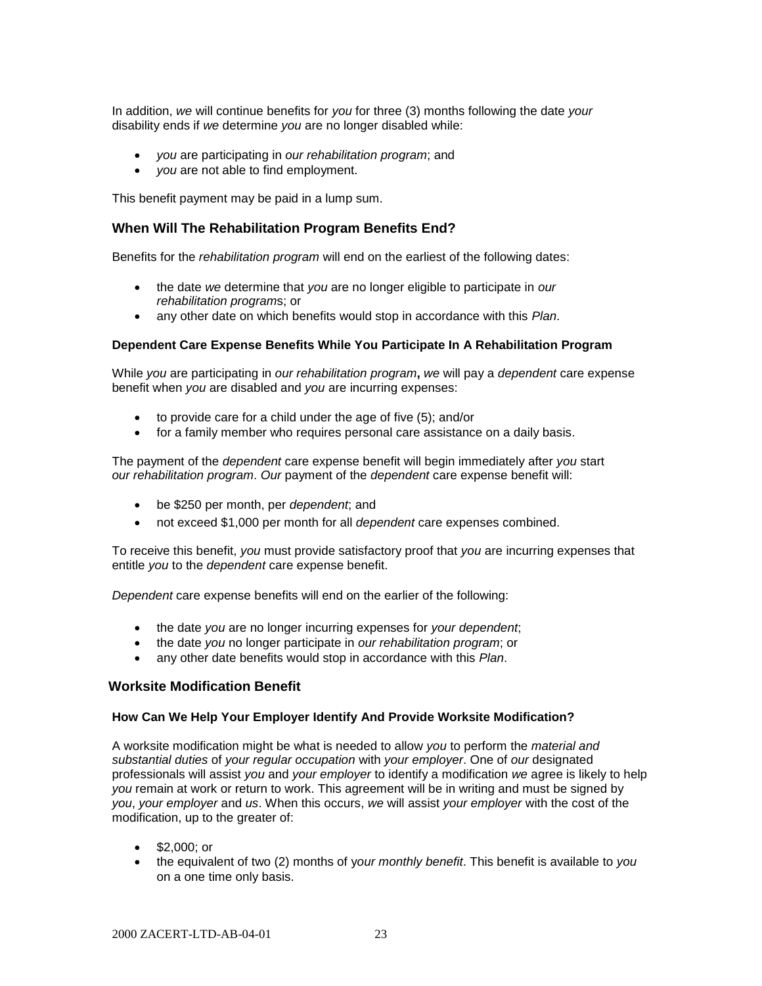In addition, *we* will continue benefits for *you* for three (3) months following the date *your* disability ends if *we* determine *you* are no longer disabled while:

- *you* are participating in *our rehabilitation program*; and
- *you* are not able to find employment.

This benefit payment may be paid in a lump sum.

#### **When Will The Rehabilitation Program Benefits End?**

Benefits for the *rehabilitation program* will end on the earliest of the following dates:

- the date *we* determine that *you* are no longer eligible to participate in *our rehabilitation program*s; or
- any other date on which benefits would stop in accordance with this *Plan*.

#### **Dependent Care Expense Benefits While You Participate In A Rehabilitation Program**

While *you* are participating in *our rehabilitation program***,** *we* will pay a *dependent* care expense benefit when *you* are disabled and *you* are incurring expenses:

- to provide care for a child under the age of five (5); and/or
- for a family member who requires personal care assistance on a daily basis.

The payment of the *dependent* care expense benefit will begin immediately after *you* start *our rehabilitation program*. *Our* payment of the *dependent* care expense benefit will:

- be \$250 per month, per *dependent*; and
- not exceed \$1,000 per month for all *dependent* care expenses combined.

To receive this benefit, *you* must provide satisfactory proof that *you* are incurring expenses that entitle *you* to the *dependent* care expense benefit.

*Dependent* care expense benefits will end on the earlier of the following:

- the date *you* are no longer incurring expenses for *your dependent*;
- the date *you* no longer participate in *our rehabilitation program*; or
- any other date benefits would stop in accordance with this *Plan*.

#### **Worksite Modification Benefit**

## **How Can We Help Your Employer Identify And Provide Worksite Modification?**

A worksite modification might be what is needed to allow *you* to perform the *material and substantial duties* of *your regular occupation* with *your employer*. One of *our* designated professionals will assist *you* and *your employer* to identify a modification *we* agree is likely to help *you* remain at work or return to work. This agreement will be in writing and must be signed by *you*, *your employer* and *us*. When this occurs, *we* will assist *your employer* with the cost of the modification, up to the greater of:

- $\bullet$  \$2,000; or
- the equivalent of two (2) months of y*our monthly benefit*. This benefit is available to *you* on a one time only basis.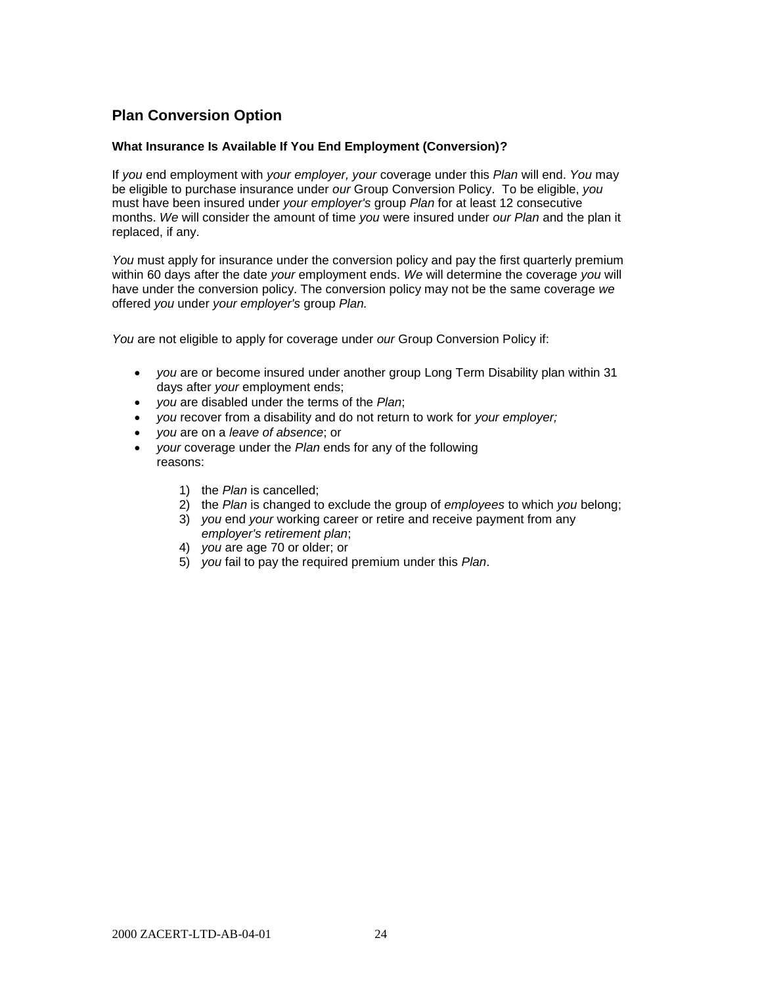# **Plan Conversion Option**

#### **What Insurance Is Available If You End Employment (Conversion)?**

If *you* end employment with *your employer, your* coverage under this *Plan* will end. *You* may be eligible to purchase insurance under *our* Group Conversion Policy. To be eligible, *you* must have been insured under *your employer's* group *Plan* for at least 12 consecutive months. *We* will consider the amount of time *you* were insured under *our Plan* and the plan it replaced, if any.

You must apply for insurance under the conversion policy and pay the first quarterly premium within 60 days after the date *your* employment ends. *We* will determine the coverage *you* will have under the conversion policy. The conversion policy may not be the same coverage *we* offered *you* under *your employer's* group *Plan.*

*You* are not eligible to apply for coverage under *our* Group Conversion Policy if:

- *you* are or become insured under another group Long Term Disability plan within 31 days after *your* employment ends;
- *you* are disabled under the terms of the *Plan*;
- *you* recover from a disability and do not return to work for *your employer;*
- *you* are on a *leave of absence*; or
- *your* coverage under the *Plan* ends for any of the following reasons:
	- 1) the *Plan* is cancelled;
	- 2) the *Plan* is changed to exclude the group of *employees* to which *you* belong;
	- 3) *you* end *your* working career or retire and receive payment from any *employer's retirement plan*;
	- 4) *you* are age 70 or older; or
	- 5) *you* fail to pay the required premium under this *Plan*.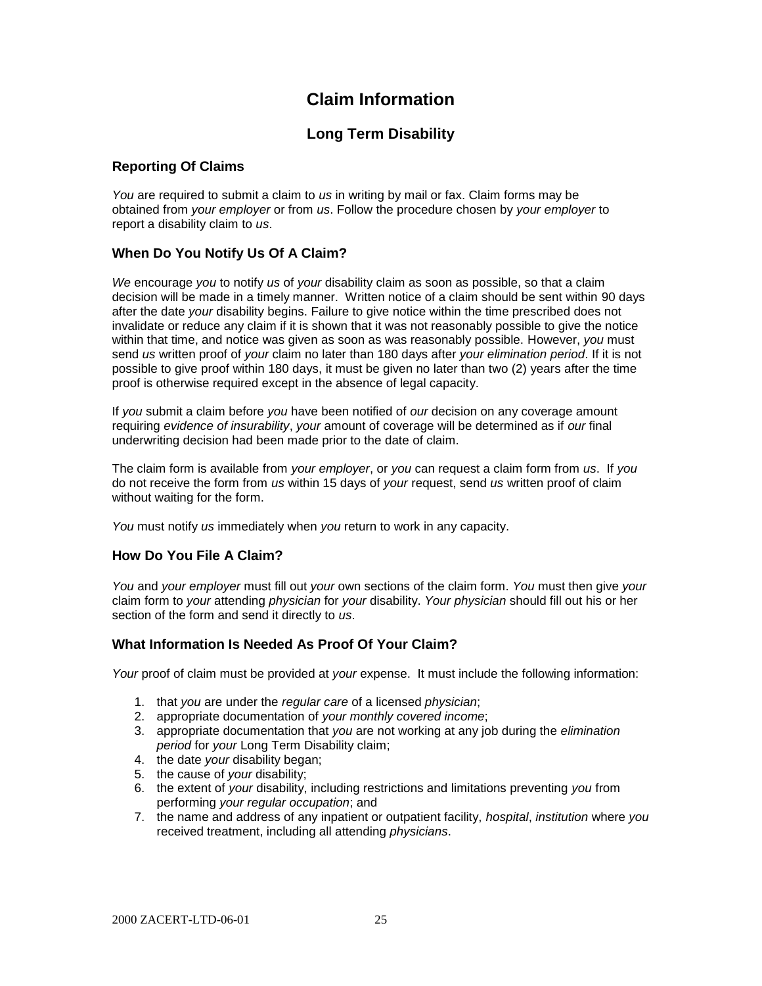# **Claim Information**

# **Long Term Disability**

## **Reporting Of Claims**

*You* are required to submit a claim to *us* in writing by mail or fax. Claim forms may be obtained from *your employer* or from *us*. Follow the procedure chosen by *your employer* to report a disability claim to *us*.

# **When Do You Notify Us Of A Claim?**

*We* encourage *you* to notify *us* of *your* disability claim as soon as possible, so that a claim decision will be made in a timely manner. Written notice of a claim should be sent within 90 days after the date *your* disability begins. Failure to give notice within the time prescribed does not invalidate or reduce any claim if it is shown that it was not reasonably possible to give the notice within that time, and notice was given as soon as was reasonably possible. However, *you* must send *us* written proof of *your* claim no later than 180 days after *your elimination period*. If it is not possible to give proof within 180 days, it must be given no later than two (2) years after the time proof is otherwise required except in the absence of legal capacity.

If *you* submit a claim before *you* have been notified of *our* decision on any coverage amount requiring *evidence of insurability*, *your* amount of coverage will be determined as if *our* final underwriting decision had been made prior to the date of claim.

The claim form is available from *your employer*, or *you* can request a claim form from *us*. If *you* do not receive the form from *us* within 15 days of *your* request, send *us* written proof of claim without waiting for the form.

*You* must notify *us* immediately when *you* return to work in any capacity.

#### **How Do You File A Claim?**

*You* and *your employer* must fill out *your* own sections of the claim form. *You* must then give *your* claim form to *your* attending *physician* for *your* disability. *Your physician* should fill out his or her section of the form and send it directly to *us*.

# **What Information Is Needed As Proof Of Your Claim?**

*Your* proof of claim must be provided at *your* expense. It must include the following information:

- 1. that *you* are under the *regular care* of a licensed *physician*;
- 2. appropriate documentation of *your monthly covered income*;
- 3. appropriate documentation that *you* are not working at any job during the *elimination period* for *your* Long Term Disability claim;
- 4. the date *your* disability began;
- 5. the cause of *your* disability;
- 6. the extent of *your* disability, including restrictions and limitations preventing *you* from performing *your regular occupation*; and
- 7. the name and address of any inpatient or outpatient facility, *hospital*, *institution* where *you* received treatment, including all attending *physicians*.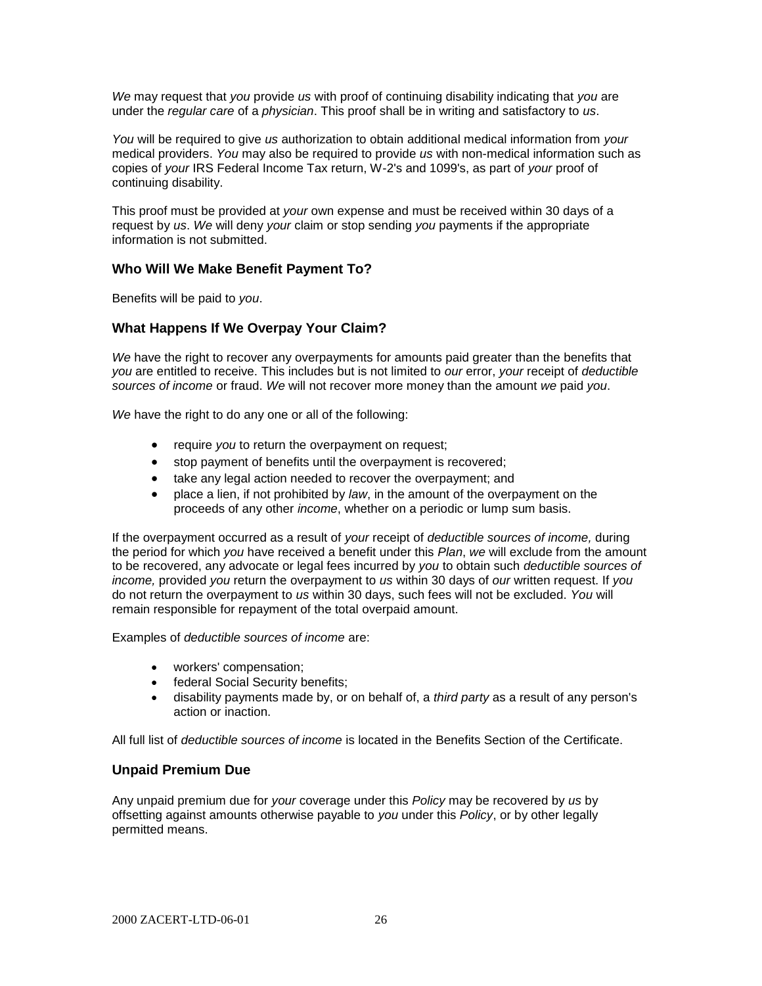*We* may request that *you* provide *us* with proof of continuing disability indicating that *you* are under the *regular care* of a *physician*. This proof shall be in writing and satisfactory to *us*.

*You* will be required to give *us* authorization to obtain additional medical information from *your* medical providers. *You* may also be required to provide *us* with non-medical information such as copies of *your* IRS Federal Income Tax return, W-2's and 1099's, as part of *your* proof of continuing disability.

This proof must be provided at *your* own expense and must be received within 30 days of a request by *us*. *We* will deny *your* claim or stop sending *you* payments if the appropriate information is not submitted.

#### **Who Will We Make Benefit Payment To?**

Benefits will be paid to *you*.

#### **What Happens If We Overpay Your Claim?**

*We* have the right to recover any overpayments for amounts paid greater than the benefits that *you* are entitled to receive. This includes but is not limited to *our* error, *your* receipt of *deductible sources of income* or fraud. *We* will not recover more money than the amount *we* paid *you*.

*We* have the right to do any one or all of the following:

- **•** require *you* to return the overpayment on request;
- stop payment of benefits until the overpayment is recovered;
- take any legal action needed to recover the overpayment; and
- place a lien, if not prohibited by *law*, in the amount of the overpayment on the proceeds of any other *income*, whether on a periodic or lump sum basis.

If the overpayment occurred as a result of *your* receipt of *deductible sources of income,* during the period for which *you* have received a benefit under this *Plan*, *we* will exclude from the amount to be recovered, any advocate or legal fees incurred by *you* to obtain such *deductible sources of income,* provided *you* return the overpayment to *us* within 30 days of *our* written request. If *you* do not return the overpayment to *us* within 30 days, such fees will not be excluded. *You* will remain responsible for repayment of the total overpaid amount.

Examples of *deductible sources of income* are:

- workers' compensation;
- federal Social Security benefits;
- disability payments made by, or on behalf of, a *third party* as a result of any person's action or inaction.

All full list of *deductible sources of income* is located in the Benefits Section of the Certificate.

#### **Unpaid Premium Due**

Any unpaid premium due for *your* coverage under this *Policy* may be recovered by *us* by offsetting against amounts otherwise payable to *you* under this *Policy*, or by other legally permitted means.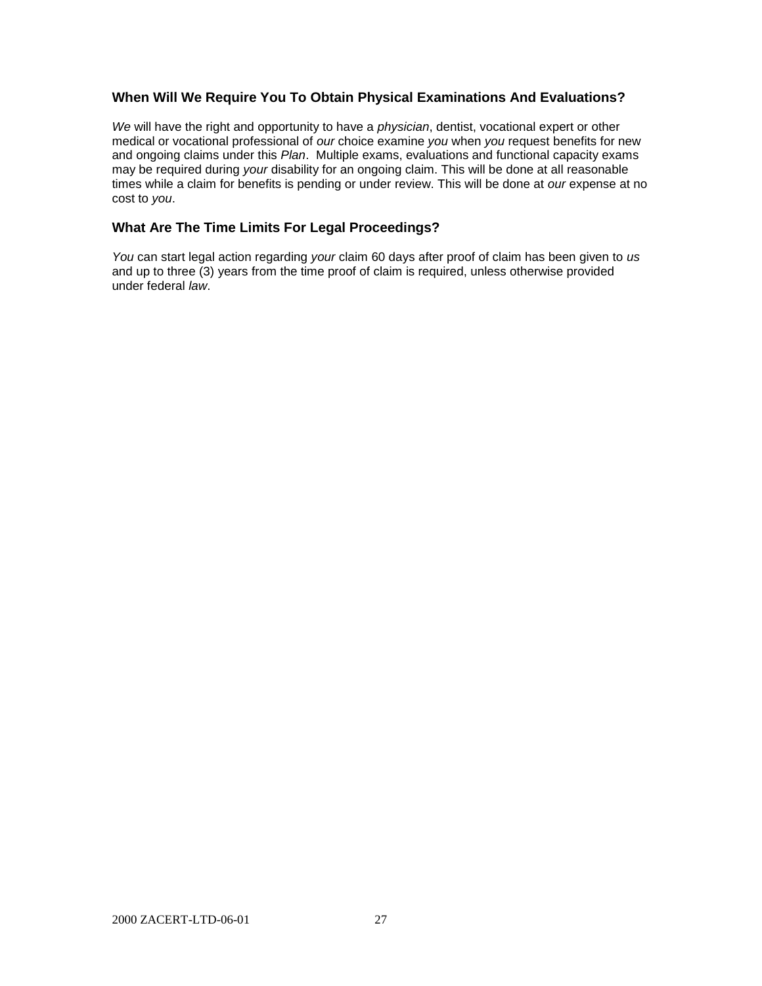## **When Will We Require You To Obtain Physical Examinations And Evaluations?**

*We* will have the right and opportunity to have a *physician*, dentist, vocational expert or other medical or vocational professional of *our* choice examine *you* when *you* request benefits for new and ongoing claims under this *Plan*. Multiple exams, evaluations and functional capacity exams may be required during *your* disability for an ongoing claim. This will be done at all reasonable times while a claim for benefits is pending or under review. This will be done at *our* expense at no cost to *you*.

## **What Are The Time Limits For Legal Proceedings?**

*You* can start legal action regarding *your* claim 60 days after proof of claim has been given to *us* and up to three (3) years from the time proof of claim is required, unless otherwise provided under federal *law*.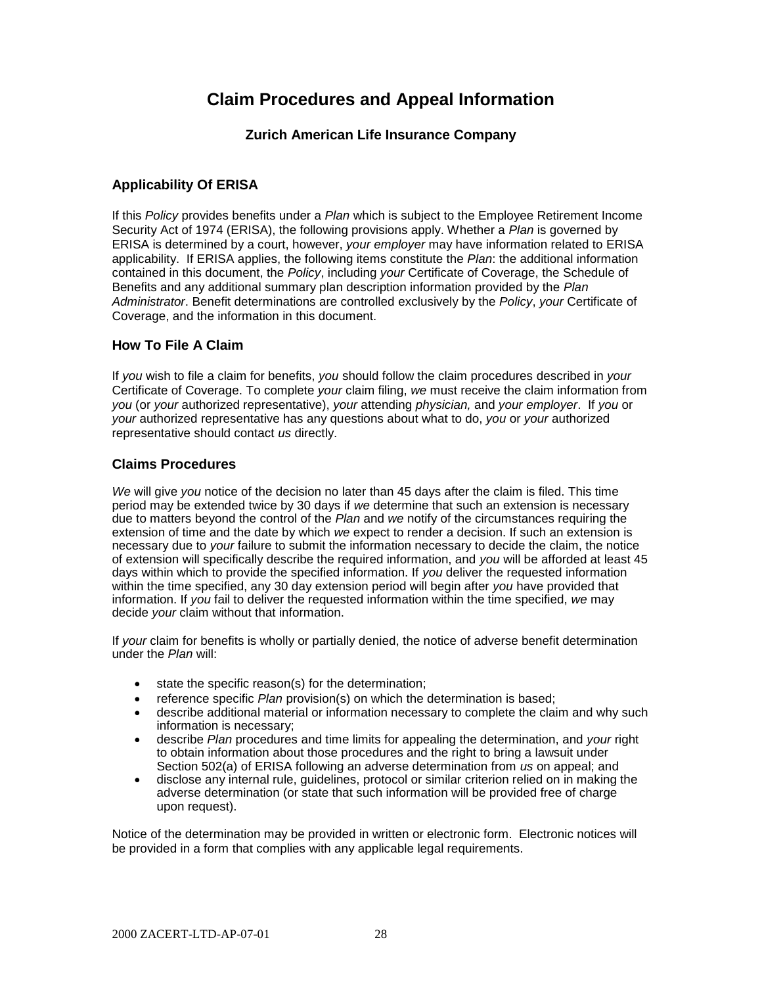# **Claim Procedures and Appeal Information**

## **Zurich American Life Insurance Company**

# **Applicability Of ERISA**

If this *Policy* provides benefits under a *Plan* which is subject to the Employee Retirement Income Security Act of 1974 (ERISA), the following provisions apply. Whether a *Plan* is governed by ERISA is determined by a court, however, *your employer* may have information related to ERISA applicability. If ERISA applies, the following items constitute the *Plan*: the additional information contained in this document, the *Policy*, including *your* Certificate of Coverage, the Schedule of Benefits and any additional summary plan description information provided by the *Plan Administrator*. Benefit determinations are controlled exclusively by the *Policy*, *your* Certificate of Coverage, and the information in this document.

## **How To File A Claim**

If *you* wish to file a claim for benefits, *you* should follow the claim procedures described in *your* Certificate of Coverage. To complete *your* claim filing, *we* must receive the claim information from *you* (or *your* authorized representative), *your* attending *physician,* and *your employer*. If *you* or *your* authorized representative has any questions about what to do, *you* or *your* authorized representative should contact *us* directly.

#### **Claims Procedures**

*We* will give *you* notice of the decision no later than 45 days after the claim is filed. This time period may be extended twice by 30 days if *we* determine that such an extension is necessary due to matters beyond the control of the *Plan* and *we* notify of the circumstances requiring the extension of time and the date by which *we* expect to render a decision. If such an extension is necessary due to *your* failure to submit the information necessary to decide the claim, the notice of extension will specifically describe the required information, and *you* will be afforded at least 45 days within which to provide the specified information. If *you* deliver the requested information within the time specified, any 30 day extension period will begin after *you* have provided that information. If *you* fail to deliver the requested information within the time specified, *we* may decide *your* claim without that information.

If *your* claim for benefits is wholly or partially denied, the notice of adverse benefit determination under the *Plan* will:

- state the specific reason(s) for the determination;
- reference specific *Plan* provision(s) on which the determination is based;
- describe additional material or information necessary to complete the claim and why such information is necessary;
- describe *Plan* procedures and time limits for appealing the determination, and *your* right to obtain information about those procedures and the right to bring a lawsuit under Section 502(a) of ERISA following an adverse determination from *us* on appeal; and
- disclose any internal rule, guidelines, protocol or similar criterion relied on in making the adverse determination (or state that such information will be provided free of charge upon request).

Notice of the determination may be provided in written or electronic form. Electronic notices will be provided in a form that complies with any applicable legal requirements.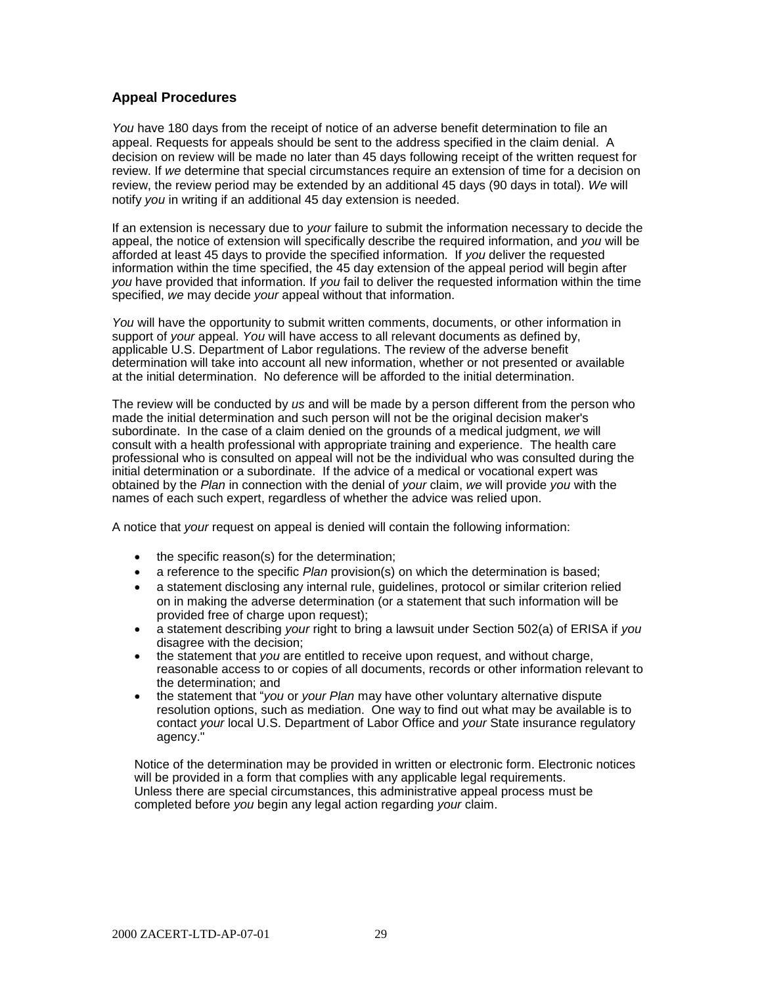## **Appeal Procedures**

*You* have 180 days from the receipt of notice of an adverse benefit determination to file an appeal. Requests for appeals should be sent to the address specified in the claim denial. A decision on review will be made no later than 45 days following receipt of the written request for review. If *we* determine that special circumstances require an extension of time for a decision on review, the review period may be extended by an additional 45 days (90 days in total). *We* will notify *you* in writing if an additional 45 day extension is needed.

If an extension is necessary due to *your* failure to submit the information necessary to decide the appeal, the notice of extension will specifically describe the required information, and *you* will be afforded at least 45 days to provide the specified information. If *you* deliver the requested information within the time specified, the 45 day extension of the appeal period will begin after *you* have provided that information. If *you* fail to deliver the requested information within the time specified, *we* may decide *your* appeal without that information.

*You* will have the opportunity to submit written comments, documents, or other information in support of *your* appeal. *You* will have access to all relevant documents as defined by, applicable U.S. Department of Labor regulations. The review of the adverse benefit determination will take into account all new information, whether or not presented or available at the initial determination. No deference will be afforded to the initial determination.

The review will be conducted by *us* and will be made by a person different from the person who made the initial determination and such person will not be the original decision maker's subordinate. In the case of a claim denied on the grounds of a medical judgment, *we* will consult with a health professional with appropriate training and experience. The health care professional who is consulted on appeal will not be the individual who was consulted during the initial determination or a subordinate. If the advice of a medical or vocational expert was obtained by the *Plan* in connection with the denial of *your* claim, *we* will provide *you* with the names of each such expert, regardless of whether the advice was relied upon.

A notice that *your* request on appeal is denied will contain the following information:

- the specific reason(s) for the determination;
- a reference to the specific *Plan* provision(s) on which the determination is based;
- a statement disclosing any internal rule, guidelines, protocol or similar criterion relied on in making the adverse determination (or a statement that such information will be provided free of charge upon request);
- a statement describing *your* right to bring a lawsuit under Section 502(a) of ERISA if *you* disagree with the decision;
- the statement that *you* are entitled to receive upon request, and without charge, reasonable access to or copies of all documents, records or other information relevant to the determination; and
- the statement that "*you* or *your Plan* may have other voluntary alternative dispute resolution options, such as mediation. One way to find out what may be available is to contact *your* local U.S. Department of Labor Office and *your* State insurance regulatory agency."

Notice of the determination may be provided in written or electronic form. Electronic notices will be provided in a form that complies with any applicable legal requirements. Unless there are special circumstances, this administrative appeal process must be completed before *you* begin any legal action regarding *your* claim.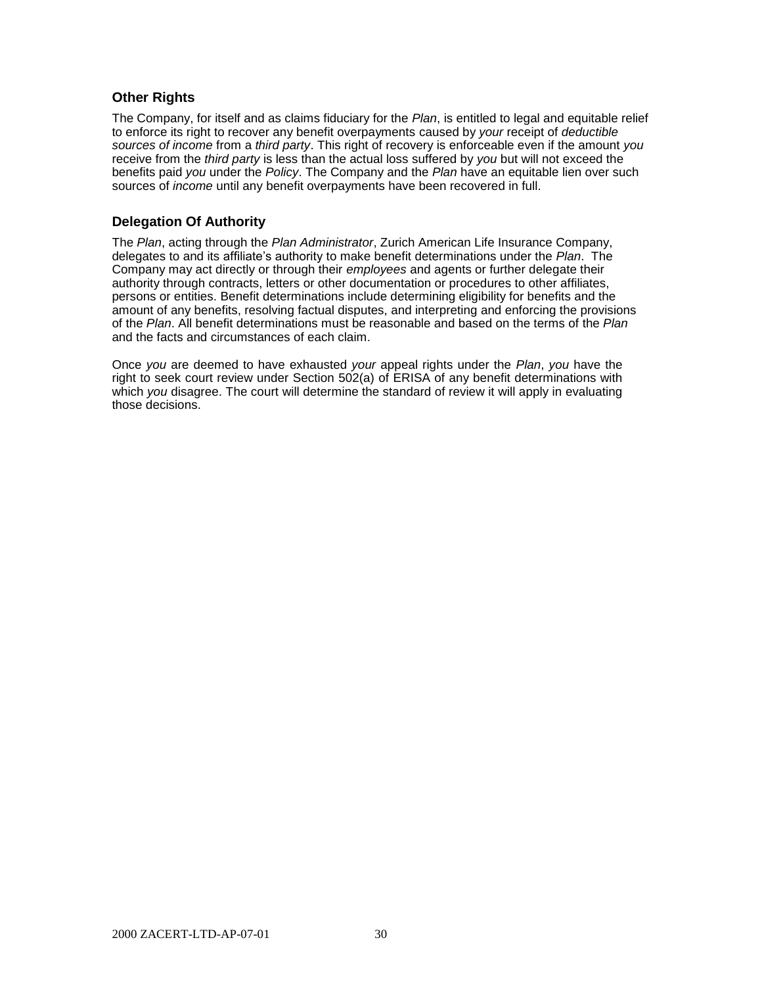## **Other Rights**

The Company, for itself and as claims fiduciary for the *Plan*, is entitled to legal and equitable relief to enforce its right to recover any benefit overpayments caused by *your* receipt of *deductible sources of income* from a *third party*. This right of recovery is enforceable even if the amount *you* receive from the *third party* is less than the actual loss suffered by *you* but will not exceed the benefits paid *you* under the *Policy*. The Company and the *Plan* have an equitable lien over such sources of *income* until any benefit overpayments have been recovered in full.

## **Delegation Of Authority**

The *Plan*, acting through the *Plan Administrator*, Zurich American Life Insurance Company, delegates to and its affiliate's authority to make benefit determinations under the *Plan*. The Company may act directly or through their *employees* and agents or further delegate their authority through contracts, letters or other documentation or procedures to other affiliates, persons or entities. Benefit determinations include determining eligibility for benefits and the amount of any benefits, resolving factual disputes, and interpreting and enforcing the provisions of the *Plan*. All benefit determinations must be reasonable and based on the terms of the *Plan* and the facts and circumstances of each claim.

Once *you* are deemed to have exhausted *your* appeal rights under the *Plan*, *you* have the right to seek court review under Section 502(a) of ERISA of any benefit determinations with which *you* disagree. The court will determine the standard of review it will apply in evaluating those decisions.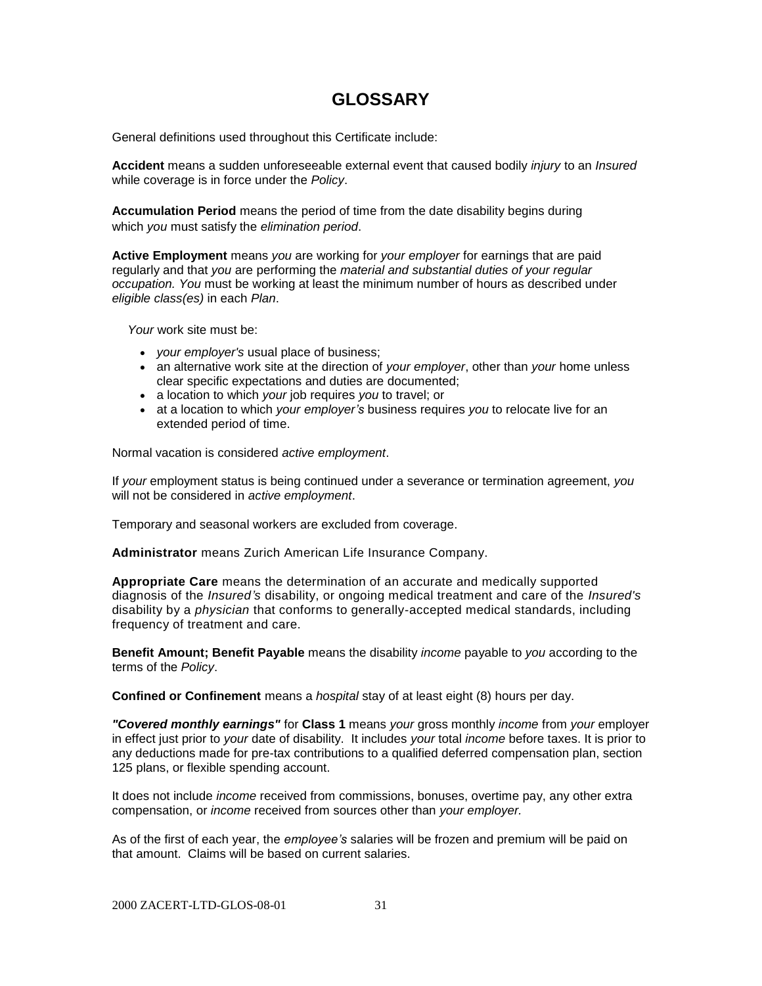# **GLOSSARY**

General definitions used throughout this Certificate include:

**Accident** means a sudden unforeseeable external event that caused bodily *injury* to an *Insured* while coverage is in force under the *Policy*.

**Accumulation Period** means the period of time from the date disability begins during which *you* must satisfy the *elimination period*.

**Active Employment** means *you* are working for *your employer* for earnings that are paid regularly and that *you* are performing the *material and substantial duties of your regular occupation. You* must be working at least the minimum number of hours as described under *eligible class(es)* in each *Plan*.

*Your* work site must be:

- *your employer's* usual place of business;
- an alternative work site at the direction of *your employer*, other than *your* home unless clear specific expectations and duties are documented;
- a location to which *your* job requires *you* to travel; or
- at a location to which *your employer's* business requires *you* to relocate live for an extended period of time.

Normal vacation is considered *active employment*.

If *your* employment status is being continued under a severance or termination agreement, *you* will not be considered in *active employment*.

Temporary and seasonal workers are excluded from coverage.

**Administrator** means Zurich American Life Insurance Company.

**Appropriate Care** means the determination of an accurate and medically supported diagnosis of the *Insured's* disability, or ongoing medical treatment and care of the *Insured's*  disability by a *physician* that conforms to generally-accepted medical standards, including frequency of treatment and care.

**Benefit Amount; Benefit Payable** means the disability *income* payable to *you* according to the terms of the *Policy*.

**Confined or Confinement** means a *hospital* stay of at least eight (8) hours per day.

*"Covered monthly earnings"* for **Class 1** means *your* gross monthly *income* from *your* employer in effect just prior to *your* date of disability. It includes *your* total *income* before taxes. It is prior to any deductions made for pre-tax contributions to a qualified deferred compensation plan, section 125 plans, or flexible spending account.

It does not include *income* received from commissions, bonuses, overtime pay, any other extra compensation, or *income* received from sources other than *your employer.*

As of the first of each year, the *employee's* salaries will be frozen and premium will be paid on that amount. Claims will be based on current salaries.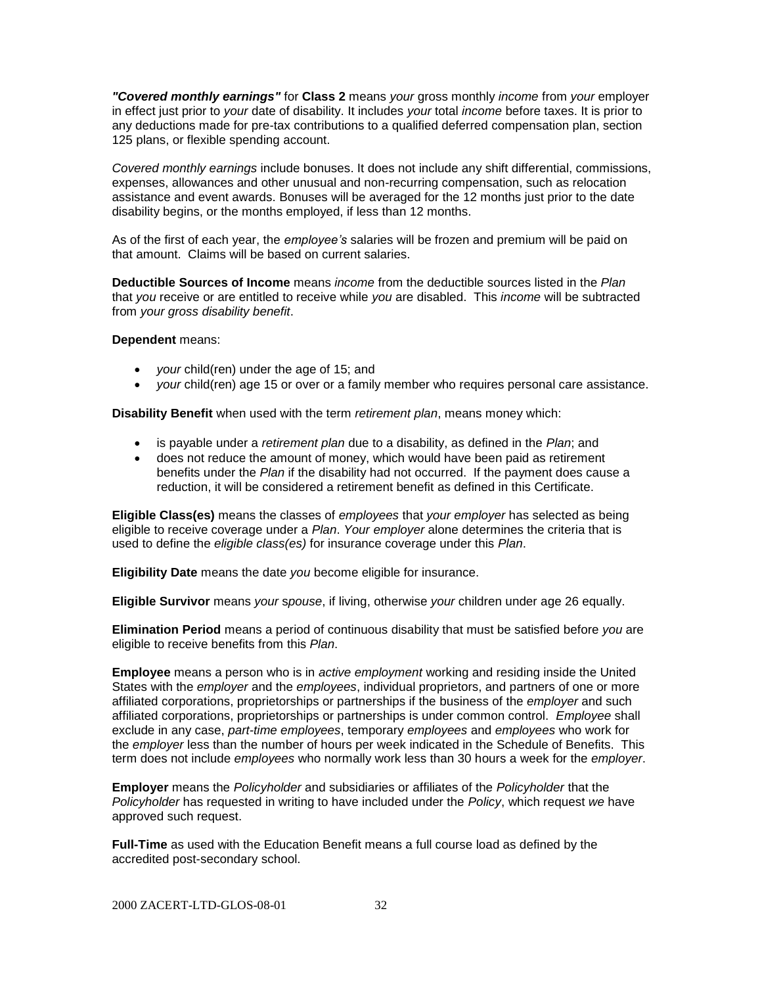*"Covered monthly earnings"* for **Class 2** means *your* gross monthly *income* from *your* employer in effect just prior to *your* date of disability. It includes *your* total *income* before taxes. It is prior to any deductions made for pre-tax contributions to a qualified deferred compensation plan, section 125 plans, or flexible spending account.

*Covered monthly earnings* include bonuses. It does not include any shift differential, commissions, expenses, allowances and other unusual and non-recurring compensation, such as relocation assistance and event awards. Bonuses will be averaged for the 12 months just prior to the date disability begins, or the months employed, if less than 12 months.

As of the first of each year, the *employee's* salaries will be frozen and premium will be paid on that amount. Claims will be based on current salaries.

**Deductible Sources of Income** means *income* from the deductible sources listed in the *Plan* that *you* receive or are entitled to receive while *you* are disabled. This *income* will be subtracted from *your gross disability benefit*.

**Dependent** means:

- *your* child(ren) under the age of 15; and
- *your* child(ren) age 15 or over or a family member who requires personal care assistance.

**Disability Benefit** when used with the term *retirement plan*, means money which:

- is payable under a *retirement plan* due to a disability, as defined in the *Plan*; and
- does not reduce the amount of money, which would have been paid as retirement benefits under the *Plan* if the disability had not occurred. If the payment does cause a reduction, it will be considered a retirement benefit as defined in this Certificate.

**Eligible Class(es)** means the classes of *employees* that *your employer* has selected as being eligible to receive coverage under a *Plan*. *Your employer* alone determines the criteria that is used to define the *eligible class(es)* for insurance coverage under this *Plan*.

**Eligibility Date** means the date *you* become eligible for insurance.

**Eligible Survivor** means *your* s*pouse*, if living, otherwise *your* children under age 26 equally.

**Elimination Period** means a period of continuous disability that must be satisfied before *you* are eligible to receive benefits from this *Plan*.

**Employee** means a person who is in *active employment* working and residing inside the United States with the *employer* and the *employees*, individual proprietors, and partners of one or more affiliated corporations, proprietorships or partnerships if the business of the *employer* and such affiliated corporations, proprietorships or partnerships is under common control. *Employee* shall exclude in any case, *part-time employees*, temporary *employees* and *employees* who work for the *employer* less than the number of hours per week indicated in the Schedule of Benefits. This term does not include *employees* who normally work less than 30 hours a week for the *employer*.

**Employer** means the *Policyholder* and subsidiaries or affiliates of the *Policyholder* that the *Policyholder* has requested in writing to have included under the *Policy*, which request *we* have approved such request.

**Full-Time** as used with the Education Benefit means a full course load as defined by the accredited post-secondary school.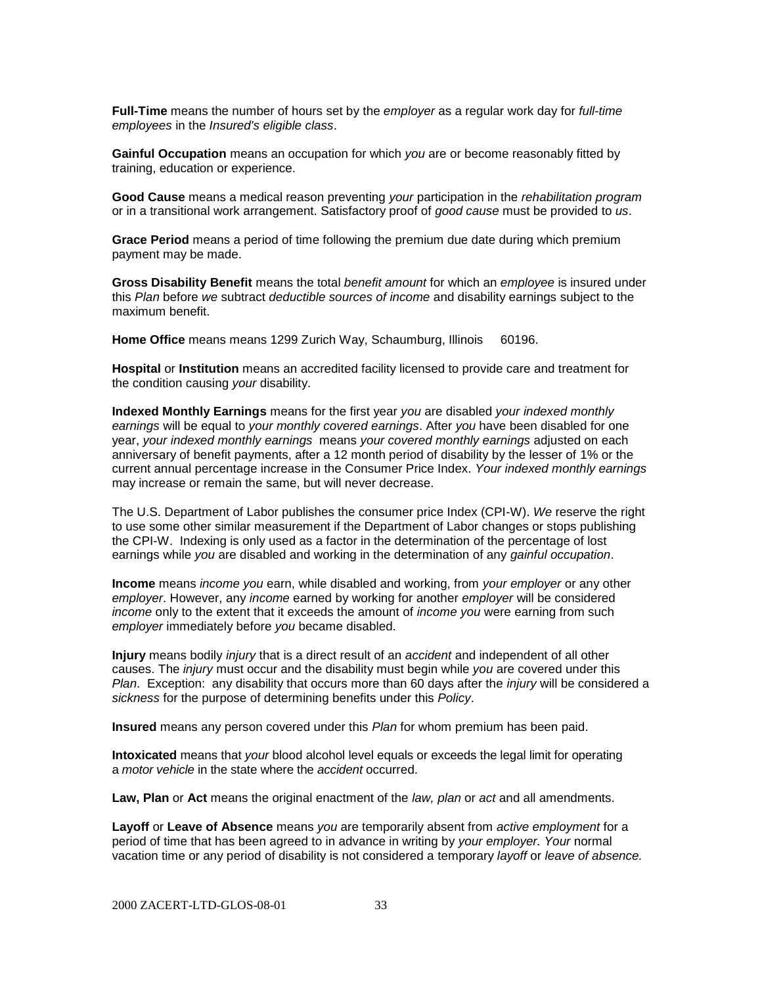**Full-Time** means the number of hours set by the *employer* as a regular work day for *full-time employees* in the *Insured's eligible class*.

**Gainful Occupation** means an occupation for which *you* are or become reasonably fitted by training, education or experience.

**Good Cause** means a medical reason preventing *your* participation in the *rehabilitation program* or in a transitional work arrangement. Satisfactory proof of *good cause* must be provided to *us*.

**Grace Period** means a period of time following the premium due date during which premium payment may be made.

**Gross Disability Benefit** means the total *benefit amount* for which an *employee* is insured under this *Plan* before *we* subtract *deductible sources of income* and disability earnings subject to the maximum benefit.

**Home Office** means means 1299 Zurich Way, Schaumburg, Illinois 60196.

**Hospital** or **Institution** means an accredited facility licensed to provide care and treatment for the condition causing *your* disability.

**Indexed Monthly Earnings** means for the first year *you* are disabled *your indexed monthly earnings* will be equal to *your monthly covered earnings*. After *you* have been disabled for one year, *your indexed monthly earnings* means *your covered monthly earnings* adjusted on each anniversary of benefit payments, after a 12 month period of disability by the lesser of 1% or the current annual percentage increase in the Consumer Price Index. *Your indexed monthly earnings* may increase or remain the same, but will never decrease.

The U.S. Department of Labor publishes the consumer price Index (CPI-W). *We* reserve the right to use some other similar measurement if the Department of Labor changes or stops publishing the CPI-W. Indexing is only used as a factor in the determination of the percentage of lost earnings while *you* are disabled and working in the determination of any *gainful occupation*.

**Income** means *income you* earn, while disabled and working, from *your employer* or any other *employer*. However, any *income* earned by working for another *employer* will be considered *income* only to the extent that it exceeds the amount of *income you* were earning from such *employer* immediately before *you* became disabled.

**Injury** means bodily *injury* that is a direct result of an *accident* and independent of all other causes. The *injury* must occur and the disability must begin while *you* are covered under this *Plan*. Exception: any disability that occurs more than 60 days after the *injury* will be considered a *sickness* for the purpose of determining benefits under this *Policy*.

**Insured** means any person covered under this *Plan* for whom premium has been paid.

**Intoxicated** means that *your* blood alcohol level equals or exceeds the legal limit for operating a *motor vehicle* in the state where the *accident* occurred.

**Law, Plan** or **Act** means the original enactment of the *law, plan* or *act* and all amendments.

**Layoff** or **Leave of Absence** means *you* are temporarily absent from *active employment* for a period of time that has been agreed to in advance in writing by *your employer. Your* normal vacation time or any period of disability is not considered a temporary *layoff* or *leave of absence.*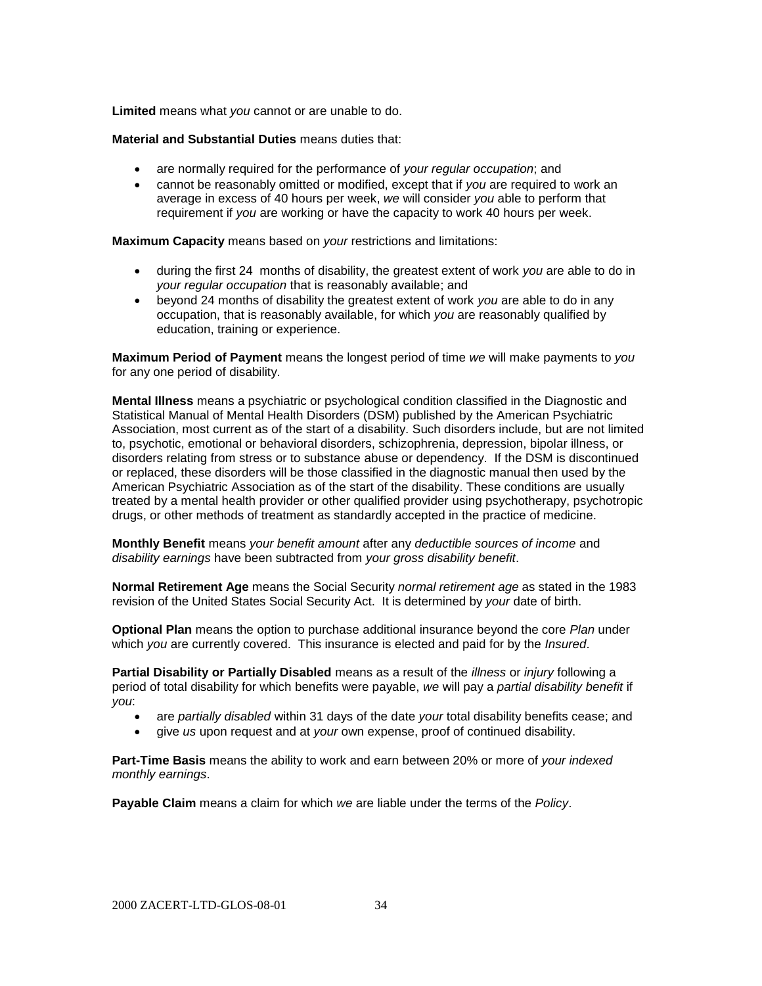**Limited** means what *you* cannot or are unable to do.

**Material and Substantial Duties** means duties that:

- are normally required for the performance of *your regular occupation*; and
- cannot be reasonably omitted or modified, except that if *you* are required to work an average in excess of 40 hours per week, *we* will consider *you* able to perform that requirement if *you* are working or have the capacity to work 40 hours per week.

**Maximum Capacity** means based on *your* restrictions and limitations:

- during the first 24 months of disability, the greatest extent of work *you* are able to do in *your regular occupation* that is reasonably available; and
- beyond 24 months of disability the greatest extent of work *you* are able to do in any occupation, that is reasonably available, for which *you* are reasonably qualified by education, training or experience.

**Maximum Period of Payment** means the longest period of time *we* will make payments to *you* for any one period of disability.

**Mental Illness** means a psychiatric or psychological condition classified in the Diagnostic and Statistical Manual of Mental Health Disorders (DSM) published by the American Psychiatric Association, most current as of the start of a disability. Such disorders include, but are not limited to, psychotic, emotional or behavioral disorders, schizophrenia, depression, bipolar illness, or disorders relating from stress or to substance abuse or dependency. If the DSM is discontinued or replaced, these disorders will be those classified in the diagnostic manual then used by the American Psychiatric Association as of the start of the disability. These conditions are usually treated by a mental health provider or other qualified provider using psychotherapy, psychotropic drugs, or other methods of treatment as standardly accepted in the practice of medicine.

**Monthly Benefit** means *your benefit amount* after any *deductible sources of income* and *disability earnings* have been subtracted from *your gross disability benefit*.

**Normal Retirement Age** means the Social Security *normal retirement age* as stated in the 1983 revision of the United States Social Security Act. It is determined by *your* date of birth.

**Optional Plan** means the option to purchase additional insurance beyond the core *Plan* under which *you* are currently covered. This insurance is elected and paid for by the *Insured*.

**Partial Disability or Partially Disabled** means as a result of the *illness* or *injury* following a period of total disability for which benefits were payable, *we* will pay a *partial disability benefit* if *you*:

- are *partially disabled* within 31 days of the date *your* total disability benefits cease; and
- give *us* upon request and at *your* own expense, proof of continued disability.

**Part-Time Basis** means the ability to work and earn between 20% or more of *your indexed monthly earnings*.

**Payable Claim** means a claim for which *we* are liable under the terms of the *Policy*.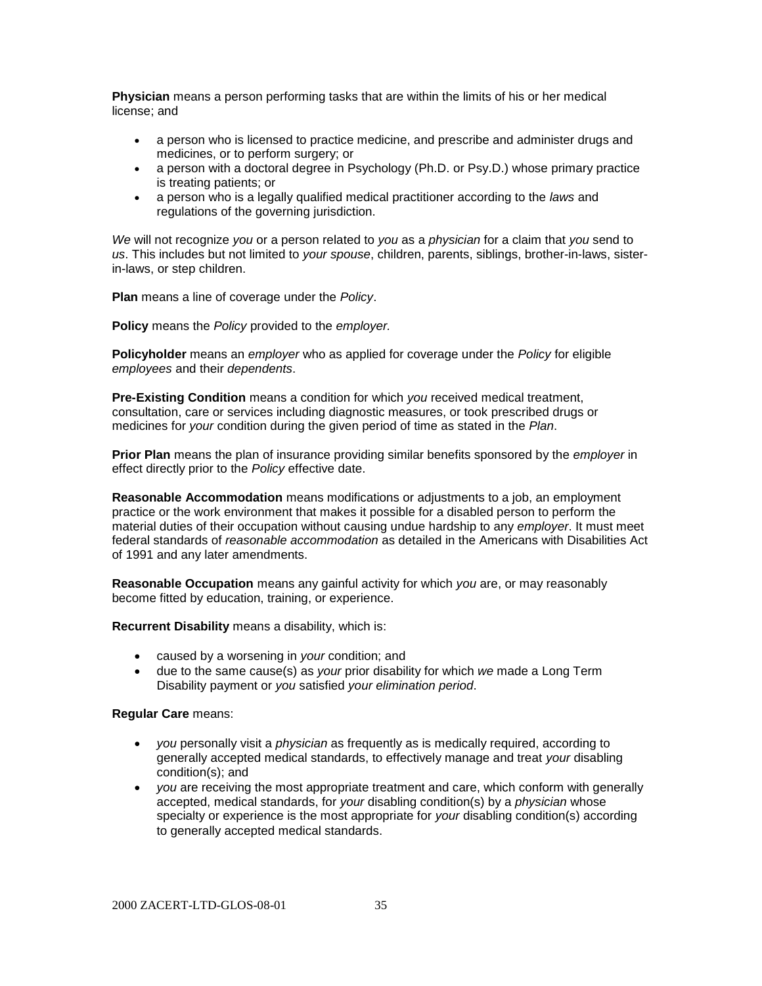**Physician** means a person performing tasks that are within the limits of his or her medical license; and

- a person who is licensed to practice medicine, and prescribe and administer drugs and medicines, or to perform surgery; or
- a person with a doctoral degree in Psychology (Ph.D. or Psy.D.) whose primary practice is treating patients; or
- a person who is a legally qualified medical practitioner according to the *laws* and regulations of the governing jurisdiction.

*We* will not recognize *you* or a person related to *you* as a *physician* for a claim that *you* send to *us*. This includes but not limited to *your spouse*, children, parents, siblings, brother-in-laws, sisterin-laws, or step children.

**Plan** means a line of coverage under the *Policy*.

**Policy** means the *Policy* provided to the *employer.*

**Policyholder** means an *employer* who as applied for coverage under the *Policy* for eligible *employees* and their *dependents*.

**Pre-Existing Condition** means a condition for which *you* received medical treatment, consultation, care or services including diagnostic measures, or took prescribed drugs or medicines for *your* condition during the given period of time as stated in the *Plan*.

**Prior Plan** means the plan of insurance providing similar benefits sponsored by the *employer* in effect directly prior to the *Policy* effective date.

**Reasonable Accommodation** means modifications or adjustments to a job, an employment practice or the work environment that makes it possible for a disabled person to perform the material duties of their occupation without causing undue hardship to any *employer*. It must meet federal standards of *reasonable accommodation* as detailed in the Americans with Disabilities Act of 1991 and any later amendments.

**Reasonable Occupation** means any gainful activity for which *you* are, or may reasonably become fitted by education, training, or experience.

**Recurrent Disability** means a disability, which is:

- caused by a worsening in *your* condition; and
- due to the same cause(s) as *your* prior disability for which *we* made a Long Term Disability payment or *you* satisfied *your elimination period*.

#### **Regular Care** means:

- *you* personally visit a *physician* as frequently as is medically required, according to generally accepted medical standards, to effectively manage and treat *your* disabling condition(s); and
- *you* are receiving the most appropriate treatment and care, which conform with generally accepted, medical standards, for *your* disabling condition(s) by a *physician* whose specialty or experience is the most appropriate for *your* disabling condition(s) according to generally accepted medical standards.